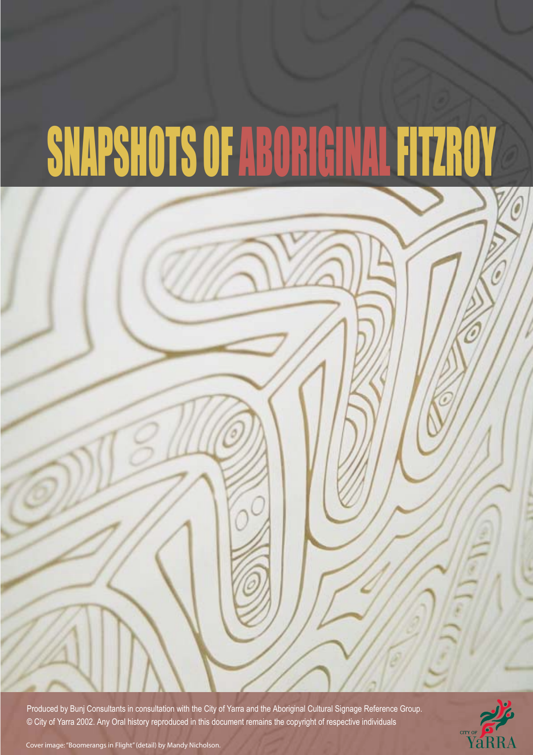# SNAPSHOTS OF ABORIGINAL FITZROY

Produced by Bunj Consultants in consultation with the City of Yarra and the Aboriginal Cultural Signage Reference Group. © City of Yarra 2002. Any Oral history reproduced in this document remains the copyright of respective individuals



Cover image: "Boomerangs in Flight" (detail) by Mandy Nicholson.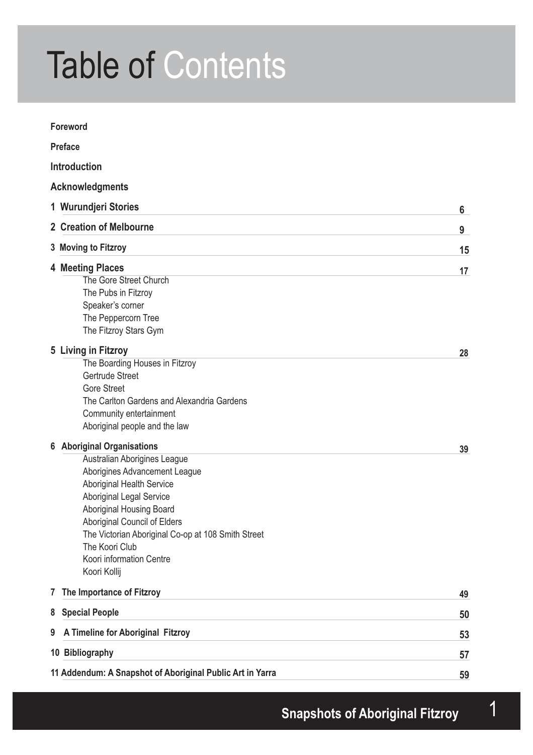# Table of Contents

|   | <b>Foreword</b>                                           |    |
|---|-----------------------------------------------------------|----|
|   | <b>Preface</b>                                            |    |
|   | <b>Introduction</b>                                       |    |
|   | <b>Acknowledgments</b>                                    |    |
|   | 1 Wurundjeri Stories                                      | 6  |
|   | 2 Creation of Melbourne                                   | 9  |
|   | 3 Moving to Fitzroy                                       | 15 |
|   | 4 Meeting Places                                          | 17 |
|   | The Gore Street Church                                    |    |
|   | The Pubs in Fitzroy                                       |    |
|   | Speaker's corner                                          |    |
|   | The Peppercorn Tree                                       |    |
|   | The Fitzroy Stars Gym                                     |    |
|   | 5 Living in Fitzroy                                       | 28 |
|   | The Boarding Houses in Fitzroy                            |    |
|   | Gertrude Street                                           |    |
|   | <b>Gore Street</b>                                        |    |
|   | The Carlton Gardens and Alexandria Gardens                |    |
|   | Community entertainment                                   |    |
|   | Aboriginal people and the law                             |    |
|   | <b>6 Aboriginal Organisations</b>                         | 39 |
|   | Australian Aborigines League                              |    |
|   | Aborigines Advancement League                             |    |
|   | <b>Aboriginal Health Service</b>                          |    |
|   | <b>Aboriginal Legal Service</b>                           |    |
|   | Aboriginal Housing Board                                  |    |
|   | Aboriginal Council of Elders                              |    |
|   | The Victorian Aboriginal Co-op at 108 Smith Street        |    |
|   | The Koori Club                                            |    |
|   | Koori information Centre                                  |    |
|   | Koori Kollij                                              |    |
| 7 | The Importance of Fitzroy                                 | 49 |
| 8 | <b>Special People</b>                                     | 50 |
| 9 | A Timeline for Aboriginal Fitzroy                         | 53 |
|   | 10 Bibliography                                           | 57 |
|   | 11 Addendum: A Snapshot of Aboriginal Public Art in Yarra | 59 |
|   |                                                           |    |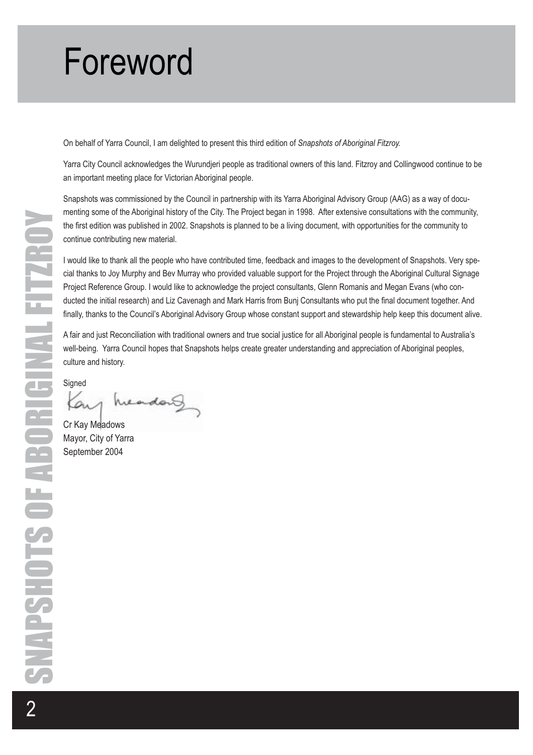# Foreword

On behalf of Yarra Council, I am delighted to present this third edition of *Snapshots of Aboriginal Fitzroy.* 

Yarra City Council acknowledges the Wurundjeri people as traditional owners of this land. Fitzroy and Collingwood continue to be an important meeting place for Victorian Aboriginal people.

Snapshots was commissioned by the Council in partnership with its Yarra Aboriginal Advisory Group (AAG) as a way of documenting some of the Aboriginal history of the City. The Project began in 1998. After extensive consultations with the community, the first edition was published in 2002. Snapshots is planned to be a living document, with opportunities for the community to continue contributing new material.

I would like to thank all the people who have contributed time, feedback and images to the development of Snapshots. Very special thanks to Joy Murphy and Bev Murray who provided valuable support for the Project through the Aboriginal Cultural Signage Project Reference Group. I would like to acknowledge the project consultants, Glenn Romanis and Megan Evans (who conducted the initial research) and Liz Cavenagh and Mark Harris from Bunj Consultants who put the final document together. And finally, thanks to the Council's Aboriginal Advisory Group whose constant support and stewardship help keep this document alive.

A fair and just Reconciliation with traditional owners and true social justice for all Aboriginal people is fundamental to Australia's well-being. Yarra Council hopes that Snapshots helps create greater understanding and appreciation of Aboriginal peoples, culture and history.

**Signed** 

headers Ca

Cr Kay Meadows Mayor, City of Yarra September 2004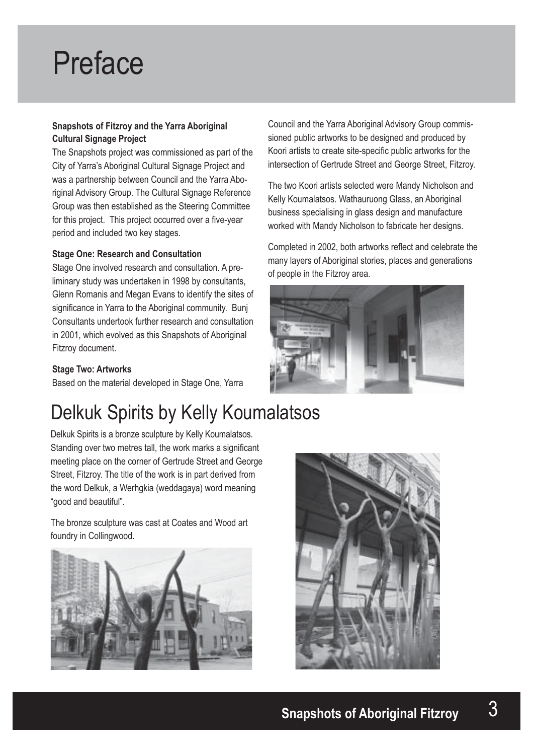# Preface

#### **Snapshots of Fitzroy and the Yarra Aboriginal Cultural Signage Project**

The Snapshots project was commissioned as part of the City of Yarra's Aboriginal Cultural Signage Project and was a partnership between Council and the Yarra Aboriginal Advisory Group. The Cultural Signage Reference Group was then established as the Steering Committee for this project. This project occurred over a five-year period and included two key stages.

#### **Stage One: Research and Consultation**

Stage One involved research and consultation. A preliminary study was undertaken in 1998 by consultants, Glenn Romanis and Megan Evans to identify the sites of significance in Yarra to the Aboriginal community. Bunj Consultants undertook further research and consultation in 2001, which evolved as this Snapshots of Aboriginal Fitzroy document.

#### **Stage Two: Artworks**

Based on the material developed in Stage One, Yarra

Council and the Yarra Aboriginal Advisory Group commissioned public artworks to be designed and produced by Koori artists to create site-specific public artworks for the intersection of Gertrude Street and George Street, Fitzroy.

The two Koori artists selected were Mandy Nicholson and Kelly Koumalatsos. Wathauruong Glass, an Aboriginal business specialising in glass design and manufacture worked with Mandy Nicholson to fabricate her designs.

Completed in 2002, both artworks reflect and celebrate the many layers of Aboriginal stories, places and generations of people in the Fitzroy area.



# Delkuk Spirits by Kelly Koumalatsos

Delkuk Spirits is a bronze sculpture by Kelly Koumalatsos. Standing over two metres tall, the work marks a significant meeting place on the corner of Gertrude Street and George Street, Fitzroy. The title of the work is in part derived from the word Delkuk, a Werhgkia (weddagaya) word meaning "good and beautiful".

The bronze sculpture was cast at Coates and Wood art foundry in Collingwood.



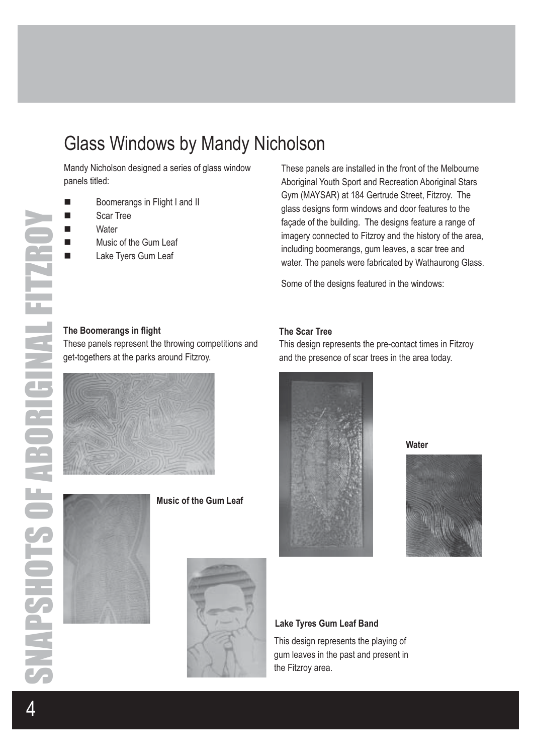# Glass Windows by Mandy Nicholson

Mandy Nicholson designed a series of glass window panels titled:

- **Boomerangs in Flight I and II**
- Scar Tree
- **Water**

FITZR

- Music of the Gum Leaf
- **Lake Tyers Gum Leaf**

These panels are installed in the front of the Melbourne Aboriginal Youth Sport and Recreation Aboriginal Stars Gym (MAYSAR) at 184 Gertrude Street, Fitzroy. The glass designs form windows and door features to the façade of the building. The designs feature a range of imagery connected to Fitzroy and the history of the area, including boomerangs, gum leaves, a scar tree and water. The panels were fabricated by Wathaurong Glass.

Some of the designs featured in the windows:

This design represents the pre-contact times in Fitzroy and the presence of scar trees in the area today.

**The Scar Tree**

#### **The Boomerangs in flight**

These panels represent the throwing competitions and get-togethers at the parks around Fitzroy.



**Music of the Gum Leaf**



#### **Lake Tyres Gum Leaf Band**

This design represents the playing of gum leaves in the past and present in the Fitzroy area.

**Water**

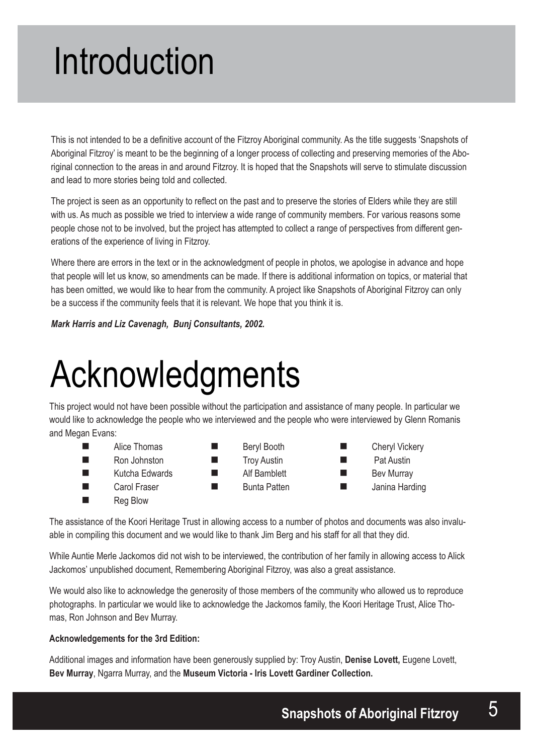# Introduction

This is not intended to be a definitive account of the Fitzroy Aboriginal community. As the title suggests 'Snapshots of Aboriginal Fitzroy' is meant to be the beginning of a longer process of collecting and preserving memories of the Aboriginal connection to the areas in and around Fitzroy. It is hoped that the Snapshots will serve to stimulate discussion and lead to more stories being told and collected.

The project is seen as an opportunity to reflect on the past and to preserve the stories of Elders while they are still with us. As much as possible we tried to interview a wide range of community members. For various reasons some people chose not to be involved, but the project has attempted to collect a range of perspectives from different generations of the experience of living in Fitzroy.

Where there are errors in the text or in the acknowledgment of people in photos, we apologise in advance and hope that people will let us know, so amendments can be made. If there is additional information on topics, or material that has been omitted, we would like to hear from the community. A project like Snapshots of Aboriginal Fitzroy can only be a success if the community feels that it is relevant. We hope that you think it is.

*Mark Harris and Liz Cavenagh, Bunj Consultants, 2002.*

# Acknowledgments

This project would not have been possible without the participation and assistance of many people. In particular we would like to acknowledge the people who we interviewed and the people who were interviewed by Glenn Romanis and Megan Evans:

- 
- 
- 
- - Reg Blow
- 
- 
- Ron Johnston **Network** Troy Austin **Network** Pat Austin
	-
	-
- Alice Thomas **B** Beryl Booth **B** Cheryl Vickery
	-
- Kutcha Edwards **EXALGE Alf Bamblett Bev Murray**
- Carol Fraser **Bunta Patten Bunta Patten Bunta Patten Bunta Patten Bunda Harding**

The assistance of the Koori Heritage Trust in allowing access to a number of photos and documents was also invaluable in compiling this document and we would like to thank Jim Berg and his staff for all that they did.

While Auntie Merle Jackomos did not wish to be interviewed, the contribution of her family in allowing access to Alick Jackomos' unpublished document, Remembering Aboriginal Fitzroy, was also a great assistance.

We would also like to acknowledge the generosity of those members of the community who allowed us to reproduce photographs. In particular we would like to acknowledge the Jackomos family, the Koori Heritage Trust, Alice Thomas, Ron Johnson and Bev Murray.

#### **Acknowledgements for the 3rd Edition:**

Additional images and information have been generously supplied by: Troy Austin, **Denise Lovett,** Eugene Lovett, **Bev Murray**, Ngarra Murray, and the **Museum Victoria - Iris Lovett Gardiner Collection.**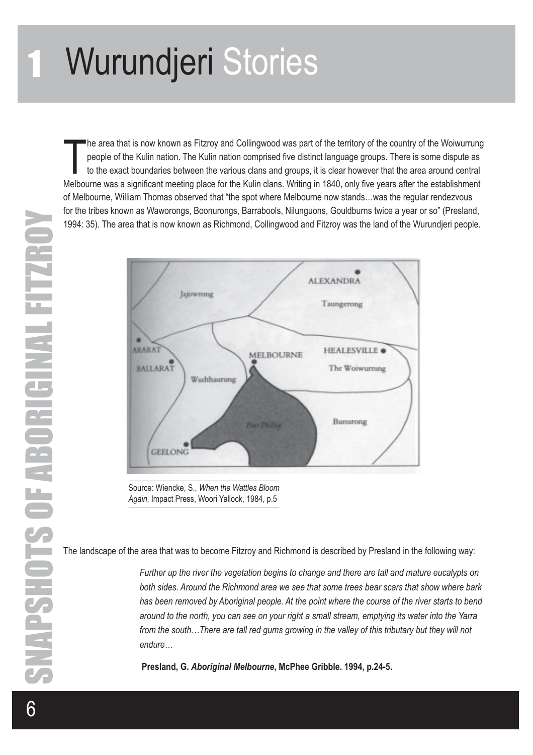## Wurundjeri Stories 1

The area that is now known as Fitzroy and Collingwood was part of the territory of the country of the Woiwurrung<br>people of the Kulin nation. The Kulin nation comprised five distinct language groups. There is some dispute a he area that is now known as Fitzroy and Collingwood was part of the territory of the country of the Woiwurrung people of the Kulin nation. The Kulin nation comprised five distinct language groups. There is some dispute as to the exact boundaries between the various clans and groups, it is clear however that the area around central of Melbourne, William Thomas observed that "the spot where Melbourne now stands...was the regular rendezvous for the tribes known as Waworongs, Boonurongs, Barrabools, Nilunguons, Gouldburns twice a year or so" (Presland, 1994: 35). The area that is now known as Richmond, Collingwood and Fitzroy was the land of the Wurundjeri people.



Source: Wiencke, S., *When the Wattles Bloom Again*, Impact Press, Woori Yallock, 1984, p.5

The landscape of the area that was to become Fitzroy and Richmond is described by Presland in the following way:

*Further up the river the vegetation begins to change and there are tall and mature eucalypts on*  both sides. Around the Richmond area we see that some trees bear scars that show where bark *has been removed by Aboriginal people. At the point where the course of the river starts to bend around to the north, you can see on your right a small stream, emptying its water into the Yarra from the south…There are tall red gums growing in the valley of this tributary but they will not endure…*

 **Presland, G.** *Aboriginal Melbourne***, McPhee Gribble. 1994, p.24-5.**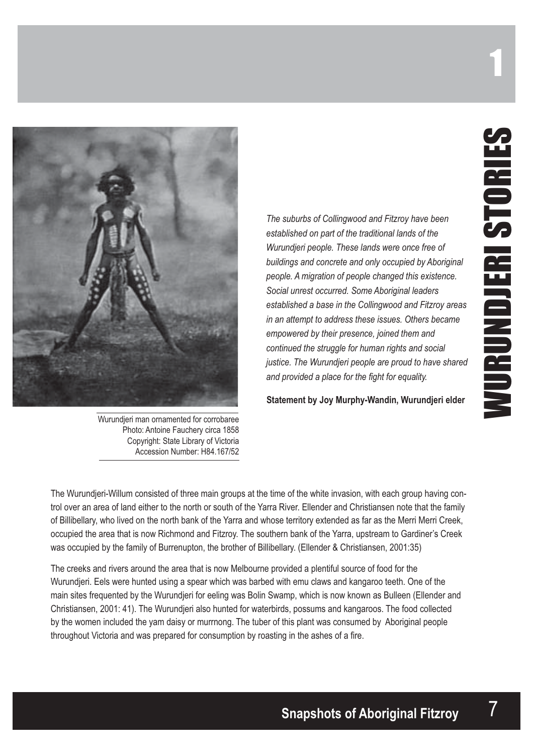1



Wurundjeri man ornamented for corrobaree Photo: Antoine Fauchery circa 1858 Copyright: State Library of Victoria Accession Number: H84.167/52

*The suburbs of Collingwood and Fitzroy have been established on part of the traditional lands of the Wurundjeri people. These lands were once free of*  **buildings and concrete and only occupied by Aboriginal** *people. A migration of people changed this existence. Social unrest occurred. Some Aboriginal leaders es tab lished a base in the Collingwood and Fitzroy areas in an attempt to address these issues. Others became*  empowered by their presence, joined them and *continued the struggle for human rights and social justice. The Wurundjeri people are proud to have shared*  and provided a place for the fight for equality.

**Statement by Joy Murphy-Wandin, Wurundjeri elder**

The Wurundjeri-Willum consisted of three main groups at the time of the white invasion, with each group having control over an area of land either to the north or south of the Yarra River. Ellender and Christiansen note that the family of Billibellary, who lived on the north bank of the Yarra and whose territory extended as far as the Merri Merri Creek, occupied the area that is now Richmond and Fitzroy. The southern bank of the Yarra, upstream to Gardiner's Creek was occupied by the family of Burrenupton, the brother of Billibellary. (Ellender & Christiansen, 2001:35)

The creeks and rivers around the area that is now Melbourne provided a plentiful source of food for the Wurundjeri. Eels were hunted using a spear which was barbed with emu claws and kangaroo teeth. One of the main sites frequented by the Wurundjeri for eeling was Bolin Swamp, which is now known as Bulleen (Ellender and Christiansen, 2001: 41). The Wurundjeri also hunted for waterbirds, possums and kangaroos. The food collected by the women included the yam daisy or murrnong. The tuber of this plant was consumed by Aboriginal people throughout Victoria and was prepared for consumption by roasting in the ashes of a fire.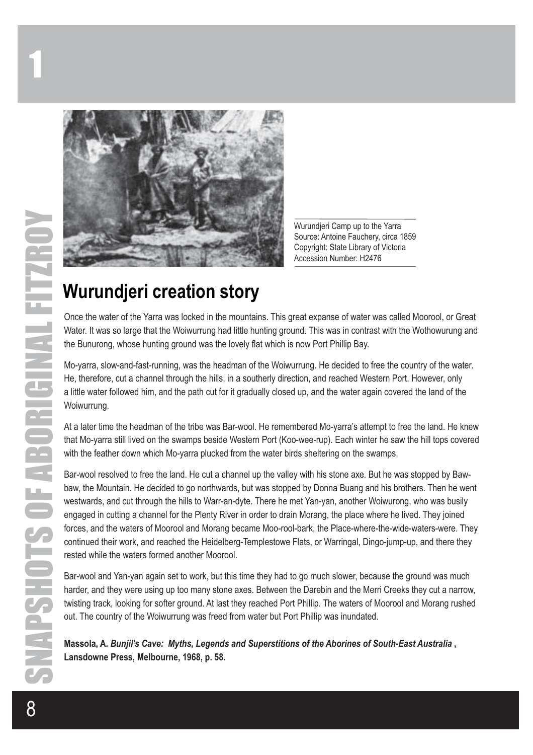

Wurundjeri Camp up to the Yarra Source: Antoine Fauchery, circa 1859 Copyright: State Library of Victoria Accession Number: H2476

# **Wurundjeri creation story**

Once the water of the Yarra was locked in the mountains. This great expanse of water was called Moorool, or Great Water. It was so large that the Woiwurrung had little hunting ground. This was in contrast with the Wothowurung and the Bunurong, whose hunting ground was the lovely flat which is now Port Phillip Bay.

Mo-yarra, slow-and-fast-running, was the headman of the Woiwurrung. He decided to free the country of the water. He, therefore, cut a channel through the hills, in a southerly direction, and reached Western Port. However, only a little water followed him, and the path cut for it gradually closed up, and the water again covered the land of the Woiwurrung.

At a later time the headman of the tribe was Bar-wool. He remembered Mo-yarra's attempt to free the land. He knew that Mo-yarra still lived on the swamps beside Western Port (Koo-wee-rup). Each winter he saw the hill tops covered with the feather down which Mo-yarra plucked from the water birds sheltering on the swamps.

Bar-wool resolved to free the land. He cut a channel up the valley with his stone axe. But he was stopped by Bawbaw, the Mountain. He decided to go northwards, but was stopped by Donna Buang and his brothers. Then he went westwards, and cut through the hills to Warr-an-dyte. There he met Yan-yan, another Woiwurong, who was busily engaged in cutting a channel for the Plenty River in order to drain Morang, the place where he lived. They joined forces, and the waters of Moorool and Morang became Moo-rool-bark, the Place-where-the-wide-waters-were. They continued their work, and reached the Heidelberg-Templestowe Flats, or Warringal, Dingo-jump-up, and there they rested while the waters formed another Moorool.

Bar-wool and Yan-yan again set to work, but this time they had to go much slower, because the ground was much harder, and they were using up too many stone axes. Between the Darebin and the Merri Creeks they cut a narrow, twisting track, looking for softer ground. At last they reached Port Phillip. The waters of Moorool and Morang rushed out. The country of the Woiwurrung was freed from water but Port Phillip was inundated.

**Massola, A.** *Bunjil's Cave: Myths, Legends and Superstitions of the Aborines of South-East Australia* **, Lansdowne Press, Melbourne, 1968, p. 58.**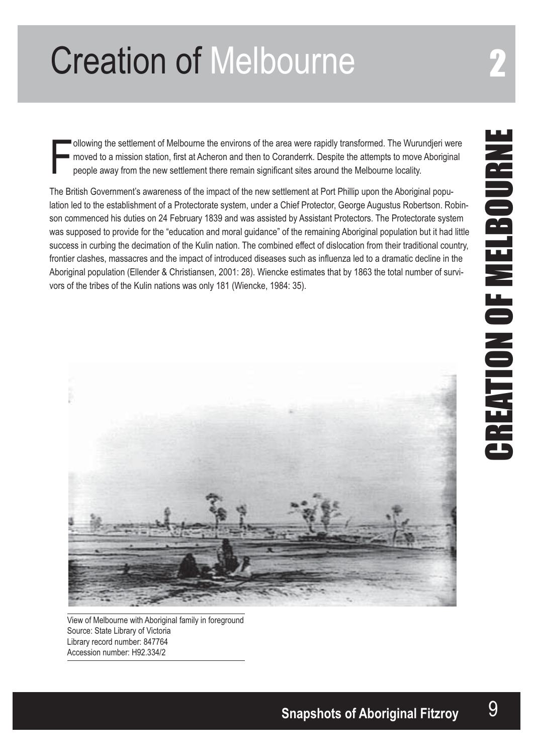# Creation of Melbourne

F ollowing the settlement of Melbourne the environs of the area were rapidly transformed. The Wurundjeri were moved to a mission station, first at Acheron and then to Coranderrk. Despite the attempts to move Aboriginal people away from the new settlement there remain significant sites around the Melbourne locality.

The British Government's awareness of the impact of the new settlement at Port Phillip upon the Aboriginal population led to the establishment of a Protectorate system, under a Chief Protector, George Augustus Robertson. Robinson commenced his duties on 24 February 1839 and was assisted by Assistant Protectors. The Protectorate system was supposed to provide for the "education and moral guidance" of the remaining Aboriginal population but it had little success in curbing the decimation of the Kulin nation. The combined effect of dislocation from their traditional country, frontier clashes, massacres and the impact of introduced diseases such as influenza led to a dramatic decline in the Aboriginal population (Ellender & Christiansen, 2001: 28). Wiencke estimates that by 1863 the total number of survivors of the tribes of the Kulin nations was only 181 (Wiencke, 1984: 35).



View of Melbourne with Aboriginal family in foreground Source: State Library of Victoria Library record number: 847764 Accession number: H92.334/2

2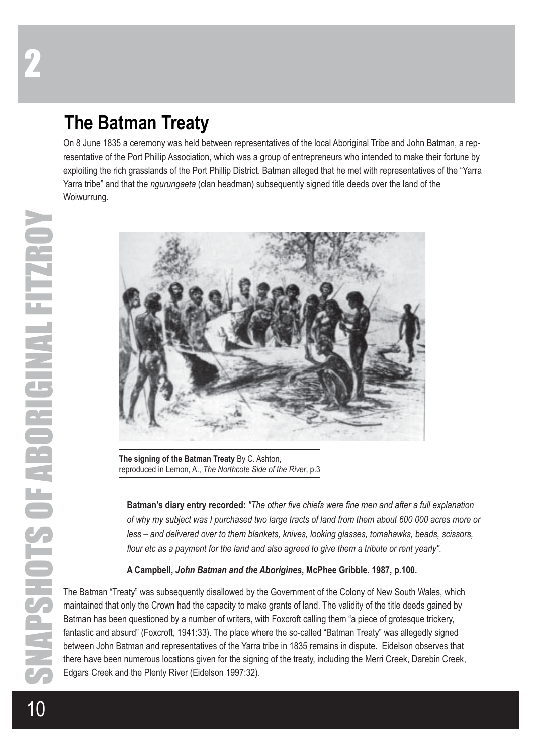# **The Batman Treaty**

On 8 June 1835 a ceremony was held between representatives of the local Aboriginal Tribe and John Batman, a representative of the Port Phillip Association, which was a group of entrepreneurs who intended to make their fortune by exploiting the rich grasslands of the Port Phillip District. Batman alleged that he met with representatives of the "Yarra Yarra tribe" and that the *ngurungaeta* (clan headman) subsequently signed title deeds over the land of the Woiwurrung.



**The signing of the Batman Treaty** By C. Ashton, reproduced in Lemon, A., *The Northcote Side of the River*, p.3

**Batman's diary entry recorded:** *"The other five chiefs were fine men and after a full explanation of why my subject was I purchased two large tracts of land from them about 600 000 acres more or less – and delivered over to them blankets, knives, looking glasses, tomahawks, beads, scissors, flour etc as a payment for the land and also agreed to give them a tribute or rent yearly".* 

#### **A Campbell,** *John Batman and the Aborigines***, McPhee Gribble. 1987, p.100.**

The Batman "Treaty" was subsequently disallowed by the Government of the Colony of New South Wales, which main tained that only the Crown had the capacity to make grants of land. The validity of the title deeds gained by Batman has been questioned by a number of writers, with Foxcroft calling them "a piece of grotesque trickery, fantastic and absurd" (Foxcroft, 1941:33). The place where the so-called "Batman Treaty" was allegedly signed between John Batman and representatives of the Yarra tribe in 1835 remains in dispute. Eidelson observes that there have been numerous locations given for the signing of the treaty, including the Merri Creek, Darebin Creek, Edgars Creek and the Plenty River (Eidelson 1997:32).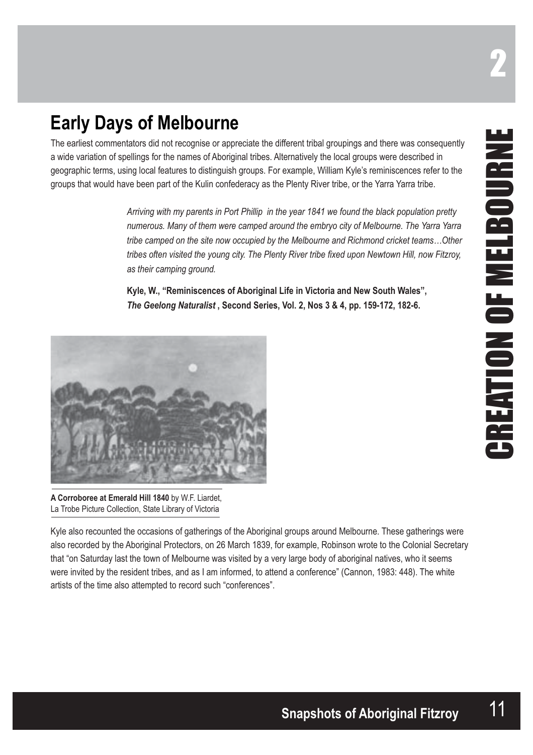# **Early Days of Melbourne**

The earliest commentators did not recognise or appreciate the different tribal groupings and there was consequently a wide variation of spellings for the names of Aboriginal tribes. Alternatively the local groups were described in geographic terms, using local features to distinguish groups. For example, William Kyle's reminiscences refer to the groups that would have been part of the Kulin confederacy as the Plenty River tribe, or the Yarra Yarra tribe.

> *Arriving with my parents in Port Phillip in the year 1841 we found the black population pretty numerous. Many of them were camped around the embryo city of Melbourne. The Yarra Yarra tribe camped on the site now occupied by the Melbourne and Richmond cricket teams…Other tribes often visited the young city. The Plenty River tribe fixed upon Newtown Hill, now Fitzroy, as their camping ground.*

**Kyle, W., "Reminiscences of Aboriginal Life in Victoria and New South Wales",**  *The Geelong Naturalist* **, Second Series, Vol. 2, Nos 3 & 4, pp. 159-172, 182-6.**



**A Corroboree at Emerald Hill 1840** by W.F. Liardet, La Trobe Picture Collection, State Library of Victoria

Kyle also recounted the occasions of gatherings of the Aboriginal groups around Melbourne. These gatherings were also recorded by the Aboriginal Protectors, on 26 March 1839, for example, Robinson wrote to the Colonial Secretary that "on Saturday last the town of Melbourne was visited by a very large body of aboriginal natives, who it seems were invited by the resident tribes, and as I am informed, to attend a conference" (Cannon, 1983: 448). The white artists of the time also attempted to record such "conferences".

2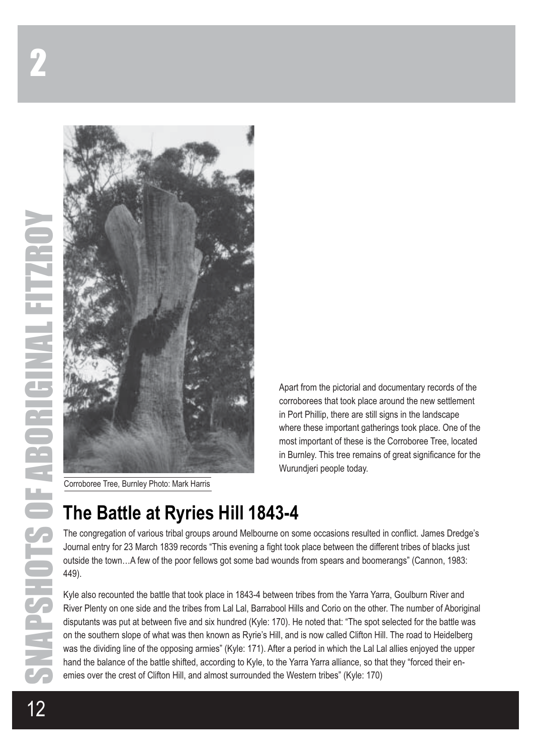

Corroboree Tree, Burnley Photo: Mark Harris

Apart from the pictorial and documentary records of the corroborees that took place around the new settlement in Port Phillip, there are still signs in the landscape where these important gatherings took place. One of the most important of these is the Corroboree Tree, located in Burnley. This tree remains of great significance for the Wurundjeri people today.

# **The Battle at Ryries Hill 1843-4**

The congregation of various tribal groups around Melbourne on some occasions resulted in conflict. James Dredge's Journal entry for 23 March 1839 records "This evening a fight took place between the different tribes of blacks just outside the town...A few of the poor fellows got some bad wounds from spears and boomerangs" (Cannon, 1983: 449).

Kyle also recounted the battle that took place in 1843-4 between tribes from the Yarra Yarra, Goulburn River and River Plenty on one side and the tribes from Lal Lal, Barrabool Hills and Corio on the other. The number of Aboriginal disputants was put at between five and six hundred (Kyle: 170). He noted that: "The spot selected for the battle was on the southern slope of what was then known as Ryrie's Hill, and is now called Clifton Hill. The road to Heidelberg was the dividing line of the opposing armies" (Kyle: 171). After a period in which the Lal Lal allies enjoyed the upper hand the balance of the battle shifted, according to Kyle, to the Yarra Yarra alliance, so that they "forced their enemies over the crest of Clifton Hill, and almost surrounded the Western tribes" (Kyle: 170)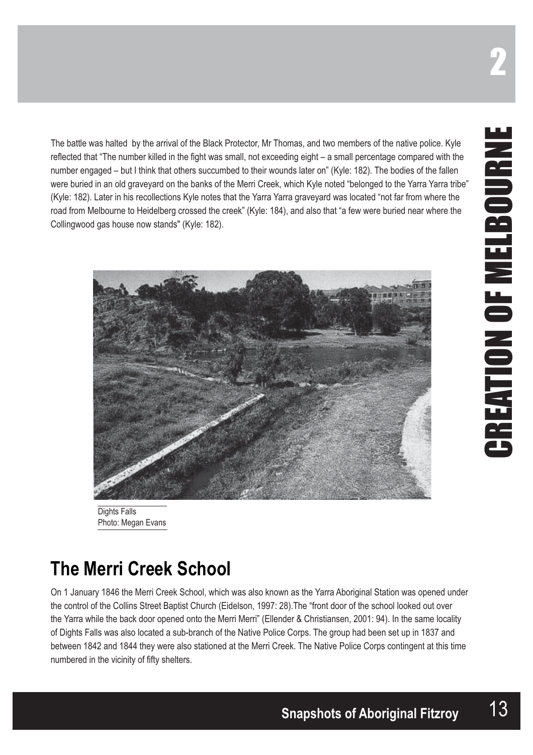The battle was halted by the arrival of the Black Protector, Mr Thomas, and two members of the native police. Kyle reflected that "The number killed in the fight was small, not exceeding eight – a small percentage compared with the number engaged – but I think that others succumbed to their wounds later on" (Kyle: 182). The bodies of the fallen were buried in an old graveyard on the banks of the Merri Creek, which Kyle noted "belonged to the Yarra Yarra tribe" (Kyle: 182). Later in his recollections Kyle notes that the Yarra Yarra graveyard was located "not far from where the road from Melbourne to Heidelberg crossed the creek" (Kyle: 184), and also that "a few were buried near where the Collingwood gas house now stands" (Kyle: 182).



2

Dights Falls Photo: Megan Evans

## **The Merri Creek School**

On 1 January 1846 the Merri Creek School, which was also known as the Yarra Aboriginal Station was opened under the control of the Collins Street Baptist Church (Eidelson, 1997: 28).The "front door of the school looked out over the Yarra while the back door opened onto the Merri Merri" (Ellender & Christiansen, 2001: 94). In the same locality of Dights Falls was also located a sub-branch of the Native Police Corps. The group had been set up in 1837 and between 1842 and 1844 they were also stationed at the Merri Creek. The Native Police Corps contingent at this time numbered in the vicinity of fifty shelters.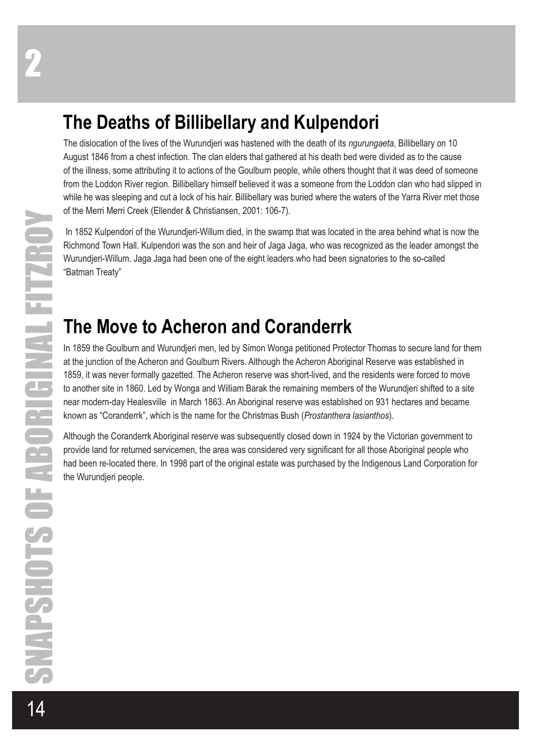# **The Deaths of Billibellary and Kulpendori**

The dislocation of the lives of the Wurundjeri was hastened with the death of its *ngurungaeta*, Billibellary on 10 August 1846 from a chest infection. The clan elders that gathered at his death bed were divided as to the cause of the illness, some attributing it to actions of the Goulburn people, while others thought that it was deed of someone from the Loddon River region. Billibellary himself believed it was a someone from the Loddon clan who had slipped in while he was sleeping and cut a lock of his hair. Billibellary was buried where the waters of the Yarra River met those of the Merri Merri Creek (Ellender & Christiansen, 2001: 106-7).

 In 1852 Kulpendori of the Wurundjeri-Willum died, in the swamp that was located in the area behind what is now the Richmond Town Hall. Kulpendori was the son and heir of Jaga Jaga, who was recognized as the leader amongst the Wurundjeri-Willum. Jaga Jaga had been one of the eight leaders who had been signatories to the so-called "Batman Treaty"

# **The Move to Acheron and Coranderrk**

In 1859 the Goulburn and Wurundjeri men, led by Simon Wonga petitioned Protector Thomas to secure land for them at the junction of the Acheron and Goulburn Rivers. Although the Acheron Aboriginal Reserve was established in 1859, it was never formally gazetted. The Acheron reserve was short-lived, and the residents were forced to move to another site in 1860. Led by Wonga and William Barak the remaining members of the Wurundjeri shifted to a site near modern-day Healesville in March 1863. An Aboriginal reserve was established on 931 hectares and became known as "Coranderrk", which is the name for the Christmas Bush (*Prostanthera lasianthos*).

Although the Coranderrk Aboriginal reserve was subsequently closed down in 1924 by the Victorian government to provide land for returned servicemen, the area was considered very significant for all those Aboriginal people who had been re-located there. In 1998 part of the original estate was purchased by the Indigenous Land Corporation for the Wurundjeri people.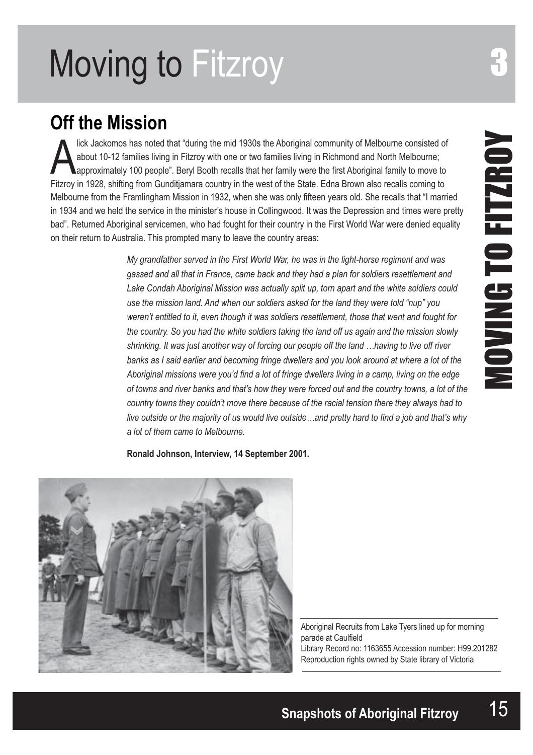# Moving to Fitzroy

# **Off the Mission**

lick Jackomos has noted that "during the mid 1930s the Aboriginal community of Melbourne consisted of about 10-12 families living in Fitzroy with one or two families living in Richmond and North Melbourne;<br>approximately 10 lick Jackomos has noted that "during the mid 1930s the Aboriginal community of Melbourne consisted of about 10-12 families living in Fitzroy with one or two families living in Richmond and North Melbourne; approximately 100 people". Beryl Booth recalls that her family were the first Aboriginal family to move to Melbourne from the Framlingham Mission in 1932, when she was only fifteen years old. She recalls that "I married in 1934 and we held the service in the minister's house in Collingwood. It was the Depression and times were pretty bad". Returned Aboriginal servicemen, who had fought for their country in the First World War were denied equality on their return to Australia. This prompted many to leave the country areas:

> *My grandfather served in the First World War, he was in the light-horse regiment and was gassed and all that in France, came back and they had a plan for soldiers resettlement and Lake Condah Aboriginal Mission was actually split up, torn apart and the white soldiers could use the mission land. And when our soldiers asked for the land they were told "nup" you weren't entitled to it, even though it was soldiers resettlement, those that went and fought for the country. So you had the white soldiers taking the land off us again and the mission slowly*  shrinking. It was just another way of forcing our people off the land ...having to live off river banks as I said earlier and becoming fringe dwellers and you look around at where a lot of the Aboriginal missions were you'd find a lot of fringe dwellers living in a camp, living on the edge *of towns and river banks and that's how they were forced out and the country towns, a lot of the country towns they couldn't move there because of the racial tension there they always had to live outside or the majority of us would live outside...and pretty hard to find a job and that's why a lot of them came to Melbourne.*

**Ronald Johnson, Interview, 14 September 2001.**



Aboriginal Recruits from Lake Tyers lined up for morning parade at Caulfield Library Record no: 1163655 Accession number: H99.201282 Reproduction rights owned by State library of Victoria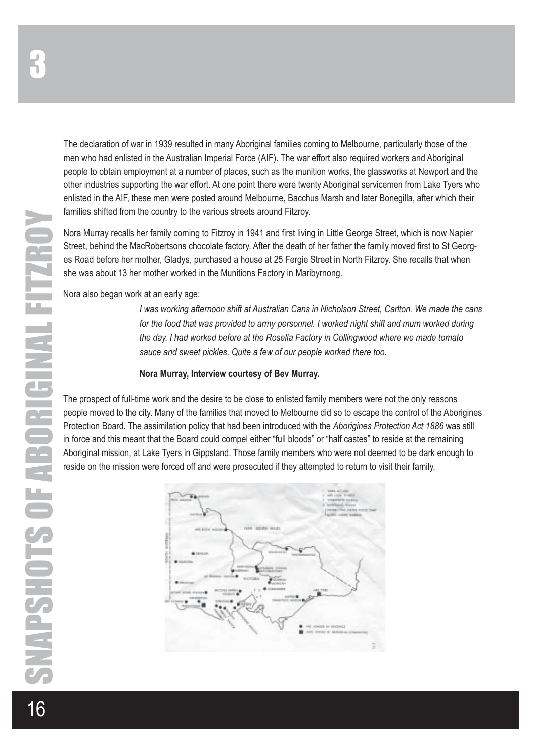SNAPSHOTS OF ABORIGINAL FITZROY E **SNAPSHOTS OF ABORIGINAL** 16

The declaration of war in 1939 resulted in many Aboriginal families coming to Melbourne, particularly those of the men who had enlisted in the Australian Imperial Force (AIF). The war effort also required workers and Aboriginal people to obtain employment at a number of places, such as the munition works, the glassworks at Newport and the other industries supporting the war effort. At one point there were twenty Aboriginal servicemen from Lake Tyers who enlisted in the AIF, these men were posted around Melbourne, Bacchus Marsh and later Bonegilla, after which their families shifted from the country to the various streets around Fitzroy.

Nora Murray recalls her family coming to Fitzroy in 1941 and first living in Little George Street, which is now Napier Street, behind the MacRobertsons chocolate factory. After the death of her father the family moved first to St Georges Road before her mother, Gladys, purchased a house at 25 Fergie Street in North Fitzroy. She recalls that when she was about 13 her mother worked in the Munitions Factory in Maribyrnong.

Nora also began work at an early age:

*I was working afternoon shift at Australian Cans in Nicholson Street, Carlton. We made the cans*  for the food that was provided to army personnel. I worked night shift and mum worked during *the day. I had worked before at the Rosella Factory in Collingwood where we made tomato sauce and sweet pickles. Quite a few of our people worked there too.*

#### **Nora Murray, Interview courtesy of Bev Murray.**

The prospect of full-time work and the desire to be close to enlisted family members were not the only reasons people moved to the city. Many of the families that moved to Melbourne did so to escape the control of the Aborigines Protection Board. The assimilation policy that had been introduced with the *Aborigines Protection Act 1886* was still in force and this meant that the Board could compel either "full bloods" or "half castes" to reside at the remaining Aboriginal mission, at Lake Tyers in Gippsland. Those family members who were not deemed to be dark enough to reside on the mission were forced off and were prosecuted if they attempted to return to visit their family.

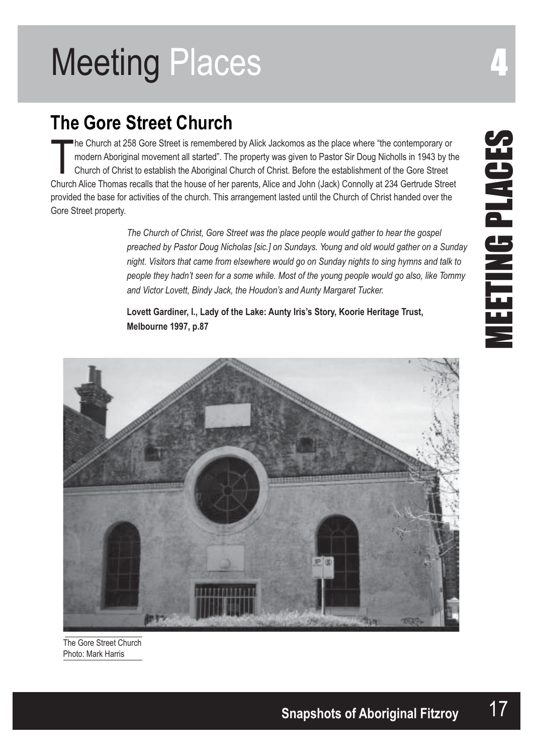# **Meeting Places**

# **The Gore Street Church**

The Church at 258 Gore Street is remembered by Alick Jackomos as the place where "the contemporary or modern Aboriginal movement all started". The property was given to Pastor Sir Doug Nicholls in 1943 by the Church of Chr he Church at 258 Gore Street is remembered by Alick Jackomos as the place where "the contemporary or modern Aboriginal movement all started". The property was given to Pastor Sir Doug Nicholls in 1943 by the Church of Christ to establish the Aboriginal Church of Christ. Before the establishment of the Gore Street provided the base for activities of the church. This arrangement lasted until the Church of Christ handed over the Gore Street property.

> *The Church of Christ, Gore Street was the place people would gather to hear the gospel preached by Pastor Doug Nicholas [sic.] on Sundays. Young and old would gather on a Sunday night. Visitors that came from elsewhere would go on Sunday nights to sing hymns and talk to people they hadn't seen for a some while. Most of the young people would go also, like Tommy and Victor Lovett, Bindy Jack, the Houdon's and Aunty Margaret Tucker.*

**Lovett Gardiner, I., Lady of the Lake: Aunty Iris's Story, Koorie Heritage Trust, Melbourne 1997, p.87**



The Gore Street Church Photo: Mark Harris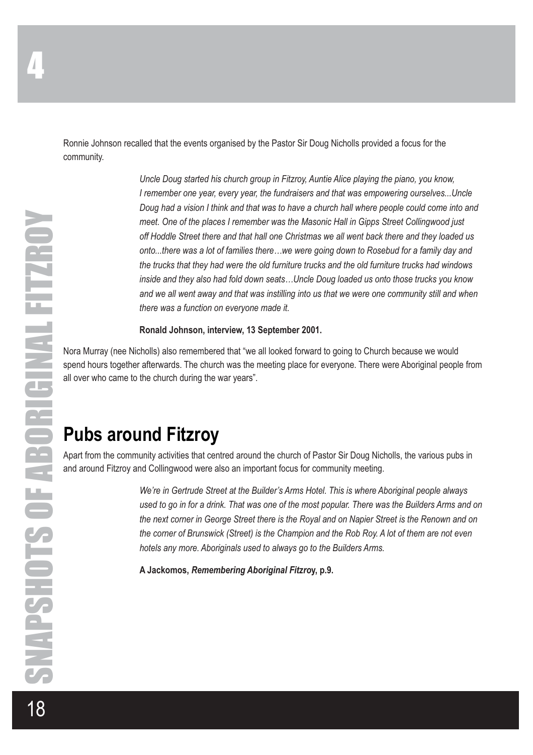Ronnie Johnson recalled that the events organised by the Pastor Sir Doug Nicholls provided a focus for the community.

> *Uncle Doug started his church group in Fitzroy, Auntie Alice playing the piano, you know, I remember one year, every year, the fundraisers and that was empowering ourselves...Uncle Doug had a vision I think and that was to have a church hall where people could come into and meet. One of the places I remember was the Masonic Hall in Gipps Street Collingwood just off Hoddle Street there and that hall one Christmas we all went back there and they loaded us onto...there was a lot of families there…we were going down to Rosebud for a family day and the trucks that they had were the old furniture trucks and the old furniture trucks had windows inside and they also had fold down seats…Uncle Doug loaded us onto those trucks you know*  and we all went away and that was instilling into us that we were one community still and when *there was a function on everyone made it.*

#### **Ronald Johnson, interview, 13 September 2001.**

Nora Murray (nee Nicholls) also remembered that "we all looked forward to going to Church because we would spend hours together afterwards. The church was the meeting place for everyone. There were Aboriginal people from all over who came to the church during the war years".

### **Pubs around Fitzroy**

Apart from the community activities that centred around the church of Pastor Sir Doug Nicholls, the various pubs in and around Fitzroy and Collingwood were also an important focus for community meeting.

> *We're in Gertrude Street at the Builder's Arms Hotel. This is where Aboriginal people always used to go in for a drink. That was one of the most popular. There was the Builders Arms and on the next corner in George Street there is the Royal and on Napier Street is the Renown and on the corner of Brunswick (Street) is the Champion and the Rob Roy. A lot of them are not even hotels any more. Aboriginals used to always go to the Builders Arms.*

**A Jackomos,** *Remembering Aboriginal Fitzro***y, p.9.**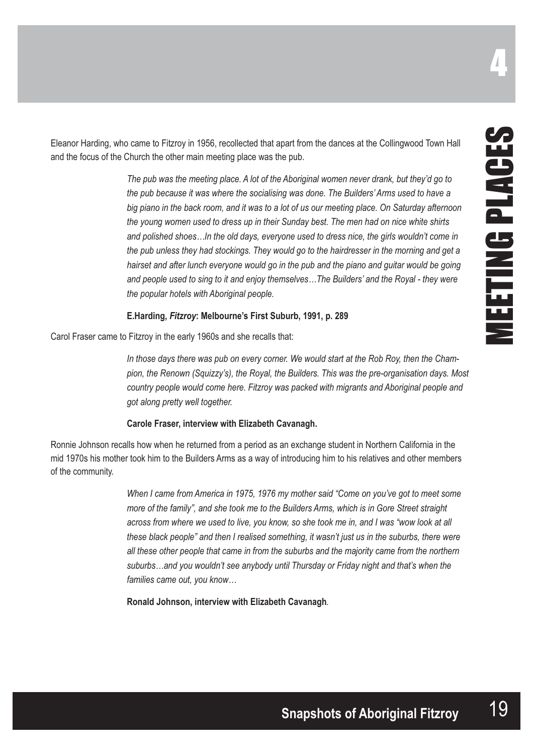MEETING PLACES

**MEETING PLACES** 

Eleanor Harding, who came to Fitzroy in 1956, recollected that apart from the dances at the Collingwood Town Hall and the focus of the Church the other main meeting place was the pub.

> *The pub was the meeting place. A lot of the Aboriginal women never drank, but they'd go to the pub because it was where the socialising was done. The Builders' Arms used to have a*  big piano in the back room, and it was to a lot of us our meeting place. On Saturday afternoon *the young women used to dress up in their Sunday best. The men had on nice white shirts and polished shoes…In the old days, everyone used to dress nice, the girls wouldn't come in the pub unless they had stockings. They would go to the hairdresser in the morning and get a hairset and after lunch everyone would go in the pub and the piano and guitar would be going and people used to sing to it and enjoy themselves…The Builders' and the Royal - they were the popular hotels with Aboriginal people.*

#### **E.Harding,** *Fitzroy***: Melbourne's First Suburb, 1991, p. 289**

Carol Fraser came to Fitzroy in the early 1960s and she recalls that:

*In those days there was pub on every corner. We would start at the Rob Roy, then the Cham* pion, the Renown (Squizzy's), the Royal, the Builders. This was the pre-organisation days. Most *country people would come here. Fitzroy was packed with migrants and Aboriginal people and got along pretty well together.*

#### **Carole Fraser, interview with Elizabeth Cavanagh.**

Ronnie Johnson recalls how when he returned from a period as an exchange student in Northern California in the mid 1970s his mother took him to the Builders Arms as a way of introducing him to his relatives and other members of the community.

> *When I came from America in 1975, 1976 my mother said "Come on you've got to meet some more of the family", and she took me to the Builders Arms, which is in Gore Street straight across from where we used to live, you know, so she took me in, and I was "wow look at all these black people" and then I realised something, it wasn't just us in the suburbs, there were all these other people that came in from the sub urbs and the majority came from the northern*  suburbs...and you wouldn't see anybody until Thursday or Friday night and that's when the *families came out, you know…*

**Ronald Johnson, interview with Elizabeth Cavanagh.**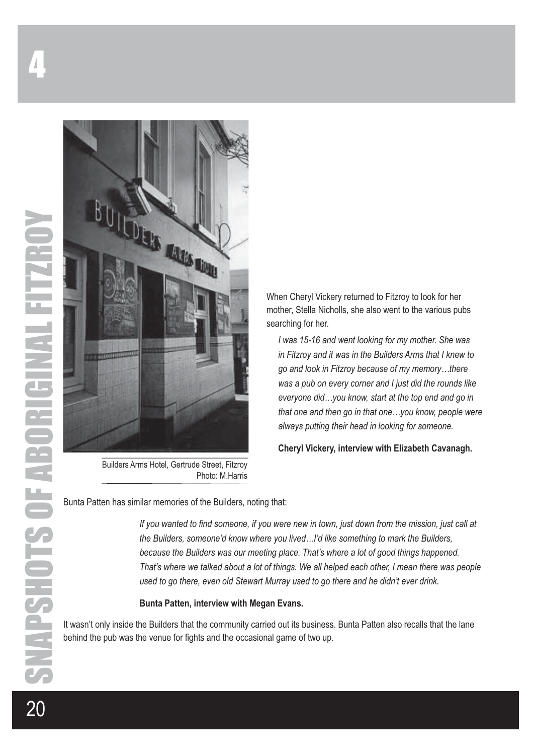

Builders Arms Hotel, Gertrude Street, Fitzroy Photo: M.Harris

When Cheryl Vickery returned to Fitzroy to look for her mother, Stella Nicholls, she also went to the various pubs searching for her.

*I was 15-16 and went looking for my mother. She was in Fitzroy and it was in the Builders Arms that I knew to go and look in Fitzroy be cause of my memory…there was a pub on every corner and I just did the rounds like everyone did…you know, start at the top end and go in that one and then go in that one…you know, people were always putting their head in looking for someone.*

**Cheryl Vickery, interview with Elizabeth Cavanagh.** 

Bunta Patten has similar memories of the Builders, noting that:

*If you wanted to find someone, if you were new in town, just down from the mission, just call at the Builders, someone'd know where you lived…I'd like something to mark the Builders,*  because the Builders was our meeting place. That's where a lot of good things happened. *That's where we talked about a lot of things. We all helped each other, I mean there was people used to go there, even old Stewart Murray used to go there and he didn't ever drink.*

#### **Bunta Patten, interview with Megan Evans.**

It wasn't only inside the Builders that the community carried out its business. Bunta Patten also recalls that the lane behind the pub was the venue for fights and the occasional game of two up.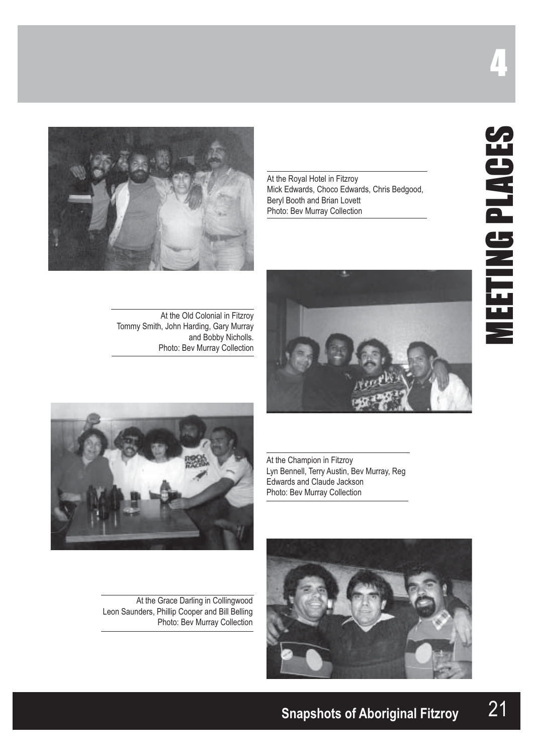

At the Royal Hotel in Fitzroy Mick Edwards, Choco Edwards, Chris Bedgood, Beryl Booth and Brian Lovett Photo: Bev Murray Collection







At the Champion in Fitzroy Lyn Bennell, Terry Austin, Bev Murray, Reg Edwards and Claude Jackson Photo: Bev Murray Collection



At the Grace Darling in Collingwood Leon Saunders, Phillip Cooper and Bill Belling Photo: Bev Murray Collection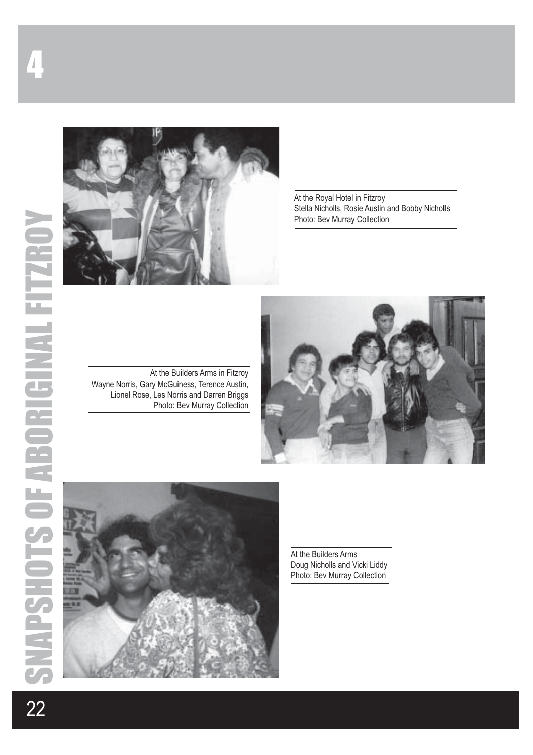

At the Royal Hotel in Fitzroy Stella Nicholls, Rosie Austin and Bobby Nicholls Photo: Bev Murray Collection

At the Builders Arms in Fitzroy Wayne Norris, Gary McGuiness, Terence Austin, Lionel Rose, Les Norris and Darren Briggs Photo: Bev Murray Collection





At the Builders Arms Doug Nicholls and Vicki Liddy Photo: Bev Murray Collection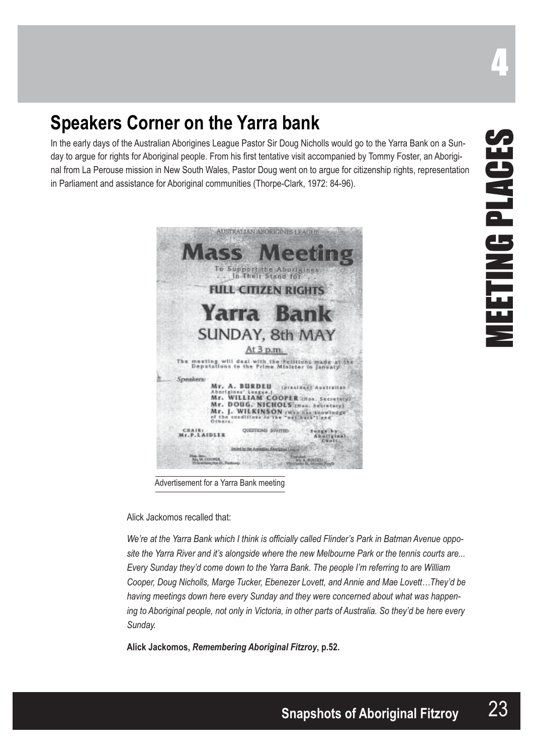# **Speakers Corner on the Yarra bank**

In the early days of the Australian Aborigines League Pastor Sir Doug Nicholls would go to the Yarra Bank on a Sunday to arque for rights for Aboriginal people. From his first tentative visit accompanied by Tommy Foster, an Aboriginal from La Perouse mission in New South Wales, Pastor Doug went on to argue for citizenship rights, representation in Parliament and assistance for Aboriginal communities (Thorpe-Clark, 1972: 84-96).



Advertisement for a Yarra Bank meeting

Alick Jackomos recalled that:

*We're at the Yarra Bank which I think is officially called Flinder's Park in Batman Avenue opposite the Yarra River and it's alongside where the new Melbourne Park or the tennis courts are... Every Sunday they'd come down to the Yarra Bank. The people I'm referring to are William Cooper, Doug Nicholls, Marge Tucker, Ebenezer Lovett, and Annie and Mae Lovett…They'd be having meetings down here every Sunday and they were concerned about what was happening to Aboriginal people, not only in Victoria, in other parts of Aus tral ia. So they'd be here every Sunday.*

**Alick Jackomos,** *Remembering Aboriginal Fitzroy***, p.52.**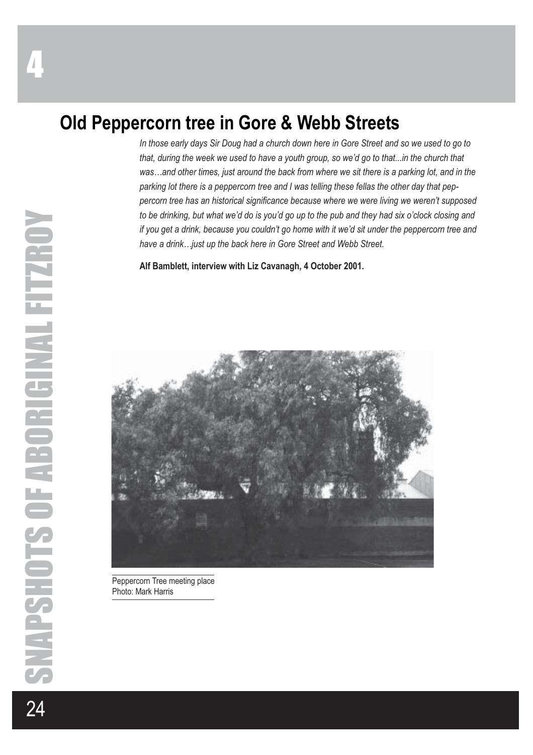## **Old Peppercorn tree in Gore & Webb Streets**

*In those early days Sir Doug had a church down here in Gore Street and so we used to go to that, during the week we used to have a youth group, so we'd go to that...in the church that was…and other times, just around the back from where we sit there is a parking lot, and in the parking lot there is a peppercorn tree and I was telling these fellas the other day that pep* percorn tree has an historical significance because where we were living we weren't supposed *to be drinking, but what we'd do is you'd go up to the pub and they had six o'clock closing and if you get a drink, because you couldn't go home with it we'd sit under the peppercorn tree and have a drink…just up the back here in Gore Street and Webb Street.*

**Alf Bamblett, interview with Liz Cavanagh, 4 October 2001.**



Peppercorn Tree meeting place Photo: Mark Harris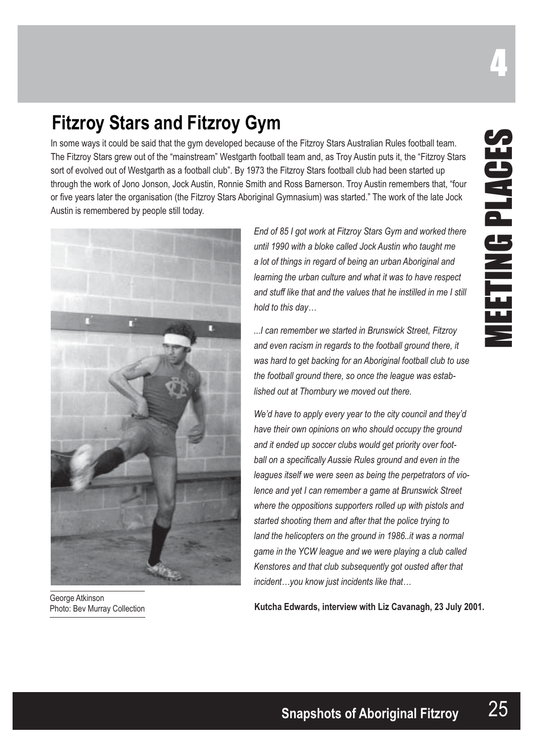# **Fitzroy Stars and Fitzroy Gym**

In some ways it could be said that the gym developed because of the Fitzroy Stars Australian Rules football team. The Fitzroy Stars grew out of the "mainstream" Westgarth football team and, as Troy Austin puts it, the "Fitzroy Stars sort of evolved out of Westgarth as a football club". By 1973 the Fitzroy Stars football club had been started up through the work of Jono Jonson, Jock Austin, Ronnie Smith and Ross Barnerson. Troy Austin remembers that, "four or five years later the organisation (the Fitzroy Stars Aboriginal Gymnasium) was started." The work of the late Jock Austin is remembered by people still today.



George Atkinson Photo: Bev Murray Collection

*End of 85 I got work at Fitzroy Stars Gym and worked there until 1990 with a bloke called Jock Austin who taught me*  a lot of things in regard of being an urban Aboriginal and *learn ing the urban culture and what it was to have respect*  and stuff like that and the values that he instilled in me I still *hold to this day…*

*...I can remember we started in Bruns wick Street, Fitzroy and even racism in regards to the football ground there, it*  was hard to get backing for an Aboriginal football club to use *the football ground there, so once the league was es tab lished out at Thornbury we moved out there.*

*We'd have to apply every year to the city council and they'd have their own opinions on who should occupy the ground and it ended up soccer clubs would get priority over foot* ball on a specifically Aussie Rules ground and even in the leagues itself we were seen as being the perpetrators of vio*lence and yet I can remember a game at Brunswick Street* where the oppositions supporters rolled up with pistols and *started shooting them and after that the police trying to*  land the helicopters on the ground in 1986..it was a normal *game in the YCW league and we were playing a club called Kenstores and that club subsequently got ousted after that incident…you know just incidents like that…*

**Kutcha Edwards, interview with Liz Cavanagh, 23 July 2001.**

4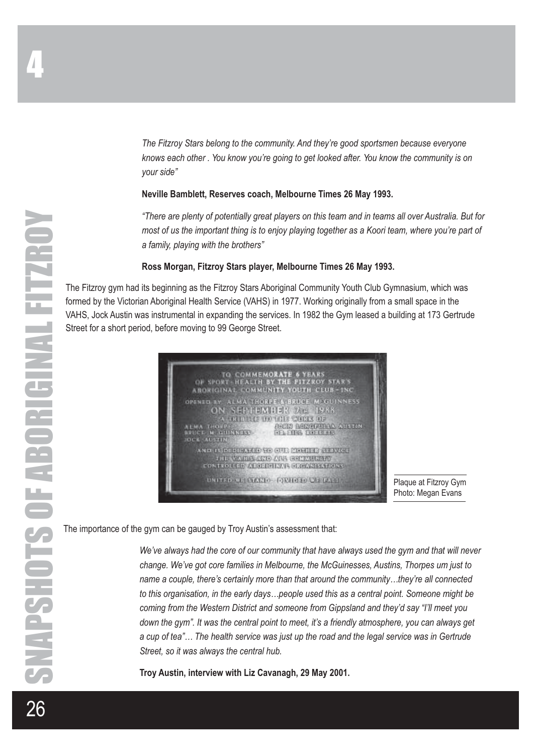SNAPSHOTS OF ABORIGINAL FITZROY **SNAPSHOTS OF ABORIGINAL FITZRO** 

The Fitzroy Stars belong to the community. And they're good sportsmen because everyone knows each other, You know you're going to get looked after. You know the community is on *your side"*

#### **Neville Bamblett, Reserves coach, Melbourne Times 26 May 1993.**

*"There are plenty of potentially great players on this team and in teams all over Aus tral ia. But for most of us the important thing is to enjoy playing together as a Koori team, where you're part of*   $a$  family, playing with the brothers"

#### **Ross Morgan, Fitzroy Stars player, Melbourne Times 26 May 1993.**

The Fitzroy gym had its beginning as the Fitzroy Stars Aboriginal Community Youth Club Gymnasium, which was formed by the Victorian Aboriginal Health Service (VAHS) in 1977. Working originally from a small space in the VAHS, Jock Austin was instrumental in expanding the services. In 1982 the Gym leased a building at 173 Gertrude Street for a short period, before moving to 99 George Street.



Plaque at Fitzroy Gym Photo: Megan Evans

The importance of the gym can be gauged by Troy Austin's assessment that:

*We've always had the core of our community that have always used the gym and that will never change. We've got core families in Melbourne, the McGuinesses, Austins, Thorpes um just to name a couple, there's certainly more than that around the community…they're all connected to this organisation, in the early days…people used this as a central point. Someone might be coming from the Western District and someone from Gippsland and they'd say "I'll meet you down the gym". It was the central point to meet, it's a friendly atmosphere, you can always get a cup of tea"… The health service was just up the road and the legal service was in Gertrude Street, so it was always the central hub.*

**Troy Austin, interview with Liz Cavanagh, 29 May 2001.**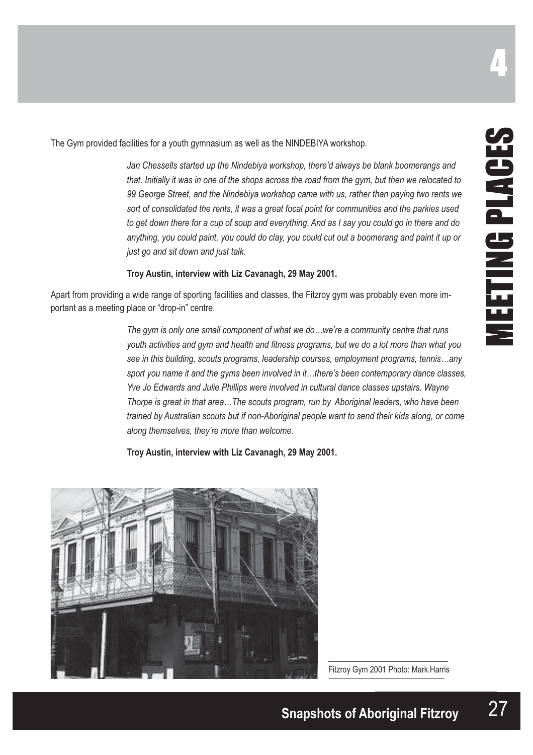MEETING PLACES

**MEETING PLACES** 

The Gym provided facilities for a youth gymnasium as well as the NINDEBIYA workshop.

Jan Chessells started up the Nindebiya workshop, there'd always be blank boomerangs and *that. Initially it was in one of the shops across the road from the gym, but then we relocated to 99 George Street, and the Nindebiya workshop came with us, rather than paying two rents we*  sort of consolidated the rents, it was a great focal point for communities and the parkies used *to get down there for a cup of soup and everything. And as I say you could go in there and do*  anything, you could paint, you could do clay, you could cut out a boomerang and paint it up or *just go and sit down and just talk.*

#### **Troy Austin, interview with Liz Cavanagh, 29 May 2001.**

Apart from providing a wide range of sporting facilities and classes, the Fitzroy gym was probably even more important as a meeting place or "drop-in" centre.

> *The gym is only one small component of what we do…we're a community centre that runs youth activities and gym and health and fi tness programs, but we do a lot more than what you see in this building, scouts programs, leadership courses, employment programs, tennis…any sport you name it and the gyms been involved in it…there's been contemporary dance classes, Yve Jo Edwards and Julie Phillips were involved in cultural dance classes upstairs. Wayne Thorpe is great in that area…The scouts program, run by Aboriginal leaders, who have been trained by Australian scouts but if non-Aboriginal people want to send their kids along, or come along themselves, they're more than welcome.*

**Troy Austin, interview with Liz Cavanagh, 29 May 2001.**



Fitzroy Gym 2001 Photo: Mark.Harris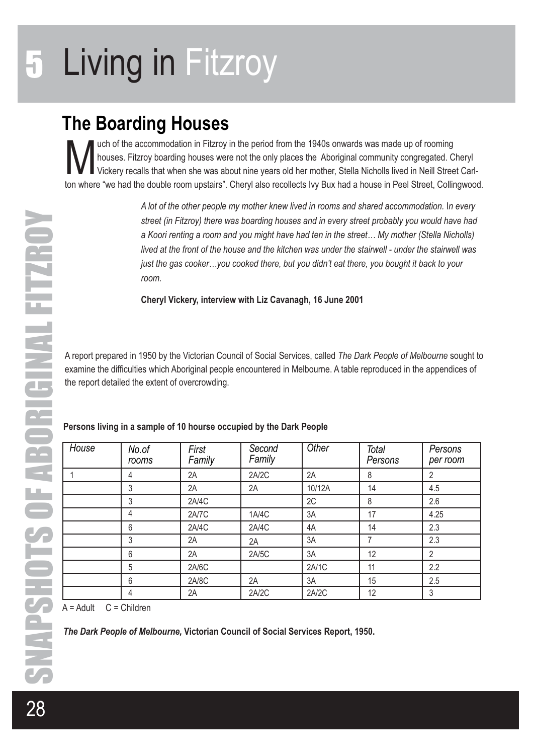# Living in Fitzroy 5

# **The Boarding Houses**

I uch of the accommodation in Fitzroy in the period from the 1940s onwards was made up of rooming<br>houses. Fitzroy boarding houses were not the only places the Aboriginal community congregated. C<br>Vickery recalls that when s houses. Fitzroy boarding houses were not the only places the Aboriginal community congregated. Cheryl Vickery recalls that when she was about nine years old her mother, Stella Nicholls lived in Neill Street Carlton where "we had the double room upstairs". Cheryl also recollects Ivy Bux had a house in Peel Street, Collingwood.

> A lot of the other people my mother knew lived in rooms and shared accommodation. In every *street (in Fitzroy) there was boarding houses and in every street probably you would have had a Koori renting a room and you might have had ten in the street… My mother (Stella Nicholls) lived at the front of the house and the kitchen was under the stairwell - under the stairwell was just the gas cooker…you cooked there, but you didn't eat there, you bought it back to your room.*

**Cheryl Vickery, interview with Liz Cavanagh, 16 June 2001**

A report prepared in 1950 by the Victorian Council of Social Services, called *The Dark People of Melbourne* sought to examine the difficulties which Aboriginal people encountered in Melbourne. A table reproduced in the appendices of the report detailed the extent of overcrowding.

| House | No.of<br>rooms | First<br>Family | Second<br>Family | Other  | Total<br>Persons | Persons<br>per room |
|-------|----------------|-----------------|------------------|--------|------------------|---------------------|
|       | 4              | 2A              | 2A/2C            | 2A     | 8                | 2                   |
|       | 3              | 2A              | 2A               | 10/12A | 14               | 4.5                 |
|       | 3              | 2A/4C           |                  | 2C     | 8                | 2.6                 |
|       | 4              | 2A/7C           | 1A/4C            | 3A     | 17               | 4.25                |
|       | 6              | 2A/4C           | 2A/4C            | 4A     | 14               | 2.3                 |
|       | 3              | 2A              | 2A               | 3A     | 7                | 2.3                 |
|       | 6              | 2A              | 2A/5C            | 3A     | 12               | 2                   |
|       | 5              | 2A/6C           |                  | 2A/1C  | 11               | 2.2                 |
|       | 6              | 2A/8C           | 2A               | 3A     | 15               | 2.5                 |
|       | 4              | 2A              | 2A/2C            | 2A/2C  | 12               | 3                   |

#### **Persons living in a sample of 10 hourse occupied by the Dark People**

 $A =$  Adult  $C =$  Children

*The Dark People of Melbourne,* **Victorian Council of Social Services Report, 1950.**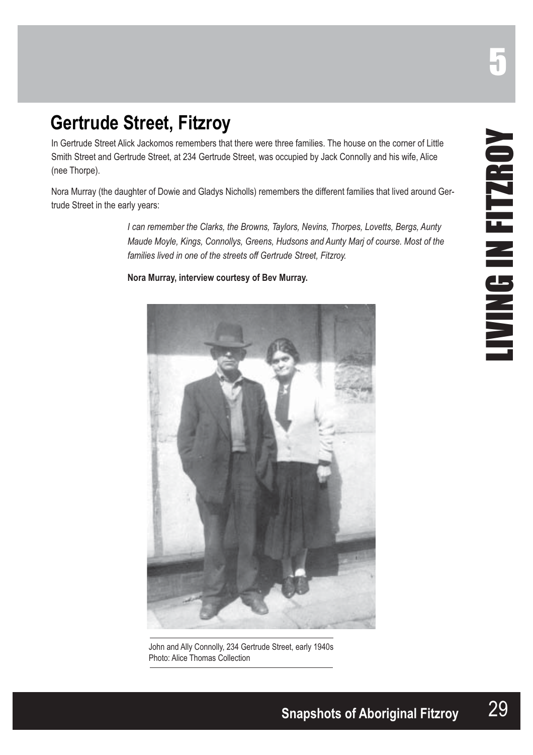# **Gertrude Street, Fitzroy**

In Gertrude Street Alick Jackomos remembers that there were three families. The house on the corner of Little Smith Street and Gertrude Street, at 234 Gertrude Street, was occupied by Jack Connolly and his wife, Alice (nee Thorpe).

Nora Murray (the daughter of Dowie and Gladys Nicholls) remembers the different families that lived around Gertrude Street in the early years:

> *I can remember the Clarks, the Browns, Taylors, Nevins, Thorpes, Lovetts, Bergs, Aunty Maude Moyle, Kings, Connollys, Greens, Hudsons and Aunty Marj of course. Most of the families lived in one of the streets off Gertrude Street, Fitzroy.*

Nora Murray, interview courtesy of Bev Murray.



John and Ally Connolly, 234 Gertrude Street, early 1940s Photo: Alice Thomas Collection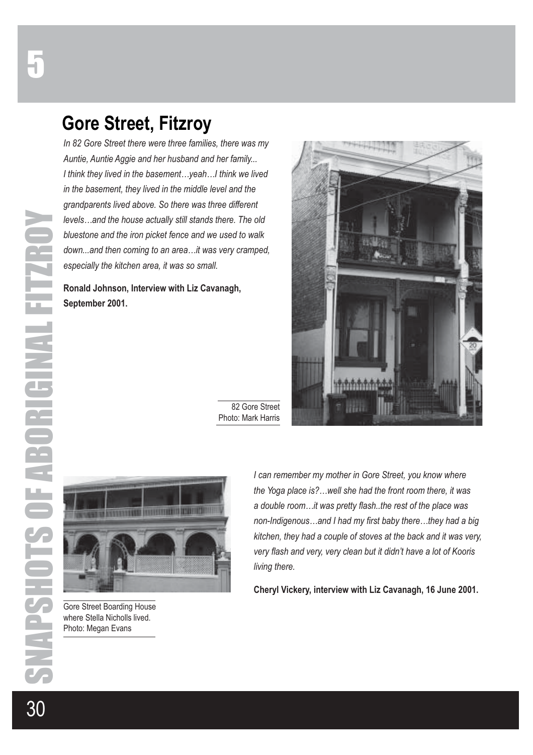# SNAPSHOTS OF ABORIGINAL FITZROY **DFABORG ESCHEN**

# **Gore Street, Fitzroy**

*In 82 Gore Street there were three families, there was my Auntie, Auntie Aggie and her husband and her family... I think they lived in the basement…yeah…I think we lived in the base ment, they lived in the middle level and the grandparents lived above. So there was three different levels…and the house actually still stands there. The old bluestone and the iron picket fence and we used to walk down...and then coming to an area…it was very cramped, especially the kitchen area, it was so small.* 

**Ronald Johnson, Interview with Liz Cavanagh, September 2001.**



82 Gore Street Photo: Mark Harris



Gore Street Boarding House where Stella Nicholls lived. Photo: Megan Evans

*I can remember my mother in Gore Street, you know where the Yoga place is?…well she had the front room there, it was*  a double room...it was pretty flash..the rest of the place was *non-Indigenous…and I had my first baby there…they had a big kitchen, they had a couple of stoves at the back and it was very, very fl ash and very, very clean but it didn't have a lot of Kooris living there.* 

**Cheryl Vickery, interview with Liz Cavanagh, 16 June 2001.**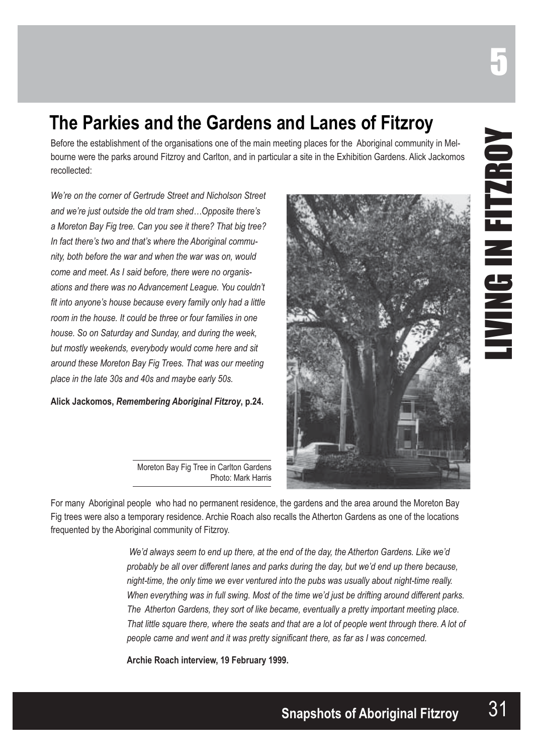LIVING IN FITZROY

**INNG IN FITZROY** 

## **The Parkies and the Gardens and Lanes of Fitzroy**

Before the establishment of the organisations one of the main meeting places for the Aboriginal community in Mel bourne were the parks around Fitzroy and Carlton, and in particular a site in the Exhibition Gardens. Alick Jackomos recollected:

*We're on the corner of Gertrude Street and Nicholson Street and we're just outside the old tram shed…Opposite there's a Moreton Bay Fig tree. Can you see it there? That big tree? In fact there's two and that's where the Aboriginal com mu*  nity, both before the war and when the war was on, would come and meet. As I said before, there were no organis*a tions and there was no Advancement League. You couldn't*  fit into anyone's house because every family only had a little *room in the house. It could be three or four families in one house. So on Saturday and Sunday, and during the week, but mostly weekends, everybody would come here and sit around these Moreton Bay Fig Trees. That was our meeting place in the late 30s and 40s and maybe early 50s.*

**Alick Jackomos,** *Remembering Aboriginal Fitzroy***, p.24.** 

Moreton Bay Fig Tree in Carlton Gardens Photo: Mark Harris

For many Aboriginal people who had no permanent residence, the gardens and the area around the Moreton Bay Fig trees were also a temporary residence. Archie Roach also recalls the Atherton Gardens as one of the locations frequented by the Aboriginal community of Fitzroy.

> *We'd always seem to end up there, at the end of the day, the Atherton Gardens. Like we'd*  probably be all over different lanes and parks during the day, but we'd end up there because, *night-time, the only time we ever ventured into the pubs was usually about night-time really. When eve ry thing was in full swing. Most of the time we'd just be drifting around different parks. The Atherton Gardens, they sort of like became, eventually a pretty important meeting place.*  That little square there, where the seats and that are a lot of people went through there. A lot of *people came and went and it was pretty significant there, as far as I was concerned.*

**Archie Roach interview, 19 February 1999.**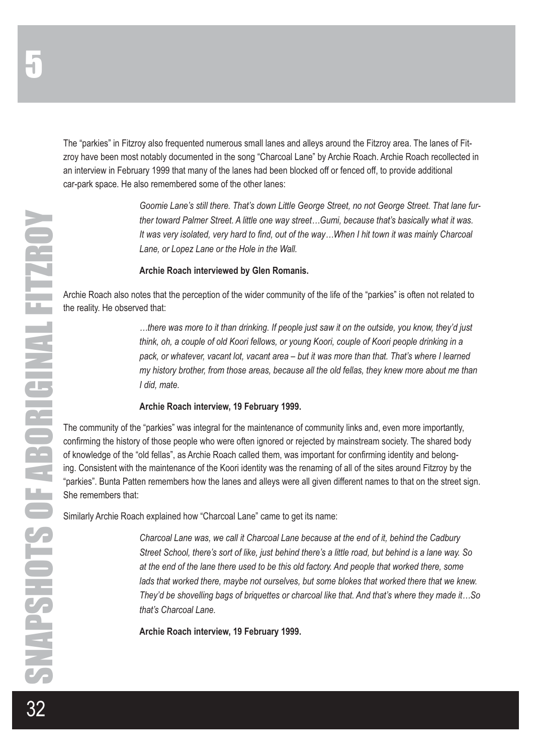The "parkies" in Fitzroy also frequented numerous small lanes and alleys around the Fitzroy area. The lanes of Fitzroy have been most notably documented in the song "Charcoal Lane" by Archie Roach. Archie Roach recollected in an interview in February 1999 that many of the lanes had been blocked off or fenced off, to provide additional car-park space. He also remembered some of the other lanes:

> *Goomie Lane's still there. That's down Little George Street, no not George Street. That lane fur*ther toward Palmer Street. A little one way street...Gumi, because that's basically what it was. It was very isolated, very hard to find, out of the way...When I hit town it was mainly Charcoal *Lane, or Lopez Lane or the Hole in the Wall.*

#### **Archie Roach interviewed by Glen Romanis.**

Archie Roach also notes that the perception of the wider community of the life of the "parkies" is often not related to the reality. He observed that:

> *…there was more to it than drinking. If people just saw it on the outside, you know, they'd just think, oh, a couple of old Koori fellows, or young Koori, couple of Koori people drinking in a pack, or whatever, vacant lot, vacant area – but it was more than that. That's where I learned my history brother, from those areas, because all the old fellas, they knew more about me than I did, mate.*

#### Archie Roach interview, 19 February 1999.

The community of the "parkies" was integral for the maintenance of community links and, even more importantly, confirming the history of those people who were often ignored or rejected by mainstream society. The shared body of knowledge of the "old fellas", as Archie Roach called them, was important for confirming identity and belonging. Consistent with the maintenance of the Koori identity was the renaming of all of the sites around Fitzroy by the "parkies". Bunta Patten remembers how the lanes and alleys were all given different names to that on the street sign. She remembers that:

Similarly Archie Roach explained how "Charcoal Lane" came to get its name:

*Charcoal Lane was, we call it Charcoal Lane because at the end of it, behind the Cadbury Street School, there's sort of like, just behind there's a little road, but behind is a lane way. So at the end of the lane there used to be this old factory. And people that worked there, some lads that worked there, maybe not ourselves, but some blokes that worked there that we knew. They'd be shovelling bags of briquettes or charcoal like that. And that's where they made it…So that's Charcoal Lane.*

**Archie Roach interview, 19 February 1999.**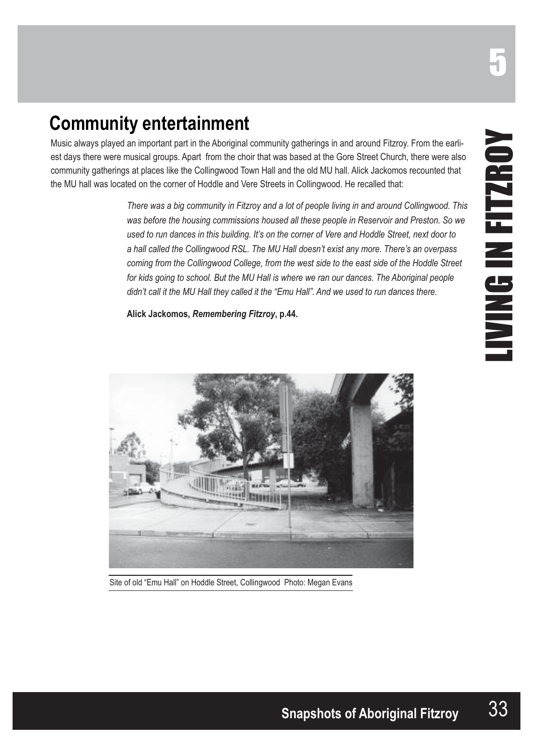## **Community entertainment**

Music always played an important part in the Aboriginal community gatherings in and around Fitzroy. From the earliest days there were musical groups. Apart from the choir that was based at the Gore Street Church, there were also community gatherings at places like the Collingwood Town Hall and the old MU hall. Alick Jackomos recounted that the MU hall was located on the corner of Hoddle and Vere Streets in Collingwood. He recalled that:

> *There was a big community in Fitzroy and a lot of people living in and around Collingwood. This was before the housing commissions housed all these people in Reservoir and Preston. So we used to run dances in this building. It's on the corner of Vere and Hoddle Street, next door to a hall called the Collingwood RSL. The MU Hall doesn't exist any more. There's an overpass coming from the Collingwood College, from the west side to the east side of the Hoddle Street for kids going to school. But the MU Hall is where we ran our dances. The Aboriginal people didn't call it the MU Hall they called it the "Emu Hall". And we used to run dances there.*

**Alick Jackomos,** *Remembering Fitzroy***, p.44.**



Site of old "Emu Hall" on Hoddle Street, Collingwood Photo: Megan Evans

5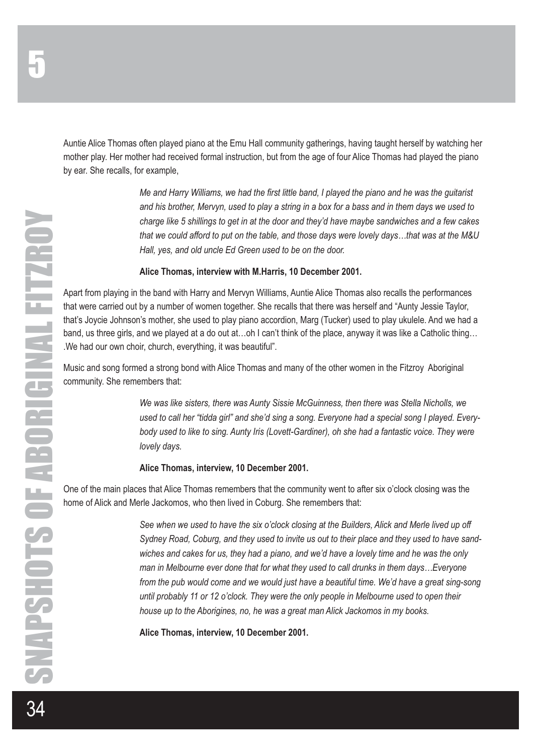Auntie Alice Thomas often played piano at the Emu Hall community gatherings, having taught herself by watching her mother play. Her mother had received formal instruction, but from the age of four Alice Thomas had played the piano by ear. She recalls, for example,

> *Me and Harry Williams, we had the first little band, I played the piano and he was the quitarist and his brother, Mervyn, used to play a string in a box for a bass and in them days we used to charge like 5 shillings to get in at the door and they'd have maybe sandwiches and a few cakes that we could afford to put on the table, and those days were lovely days…that was at the M&U Hall, yes, and old uncle Ed Green used to be on the door.*

#### **Alice Thomas, interview with M.Harris, 10 December 2001.**

Apart from playing in the band with Harry and Mervyn Williams, Auntie Alice Thomas also recalls the performances that were carried out by a number of women together. She recalls that there was herself and "Aunty Jessie Taylor, that's Joycie Johnson's mother, she used to play piano accordion, Marg (Tucker) used to play ukulele. And we had a band, us three girls, and we played at a do out at…oh I can't think of the place, anyway it was like a Catholic thing… .We had our own choir, church, everything, it was beautiful".

Music and song formed a strong bond with Alice Thomas and many of the other women in the Fitzroy Aboriginal community. She remembers that:

> *We was like sisters, there was Aunty Sissie McGuinness, then there was Stella Nicholls, we used to call her "tidda girl" and she'd sing a song. Everyone had a special song I played. Everybody used to like to sing. Aunty Iris (Lovett-Gardiner), oh she had a fantastic voice. They were lovely days.*

#### **Alice Thomas, interview, 10 December 2001.**

One of the main places that Alice Thomas remembers that the community went to after six o'clock closing was the home of Alick and Merle Jackomos, who then lived in Coburg. She remembers that:

> *See when we used to have the six o'clock closing at the Builders, Alick and Merle lived up off Sydney Road, Coburg, and they used to invite us out to their place and they used to have sandwiches and cakes for us, they had a piano, and we'd have a lovely time and he was the only man in Melbourne ever done that for what they used to call drunks in them days…Everyone from the pub would come and we would just have a beautiful time. We'd have a great sing-song until probably 11 or 12 o'clock. They were the only people in Melbourne used to open their house up to the Aborigines, no, he was a great man Alick Jackomos in my books.*

**Alice Thomas, interview, 10 December 2001.**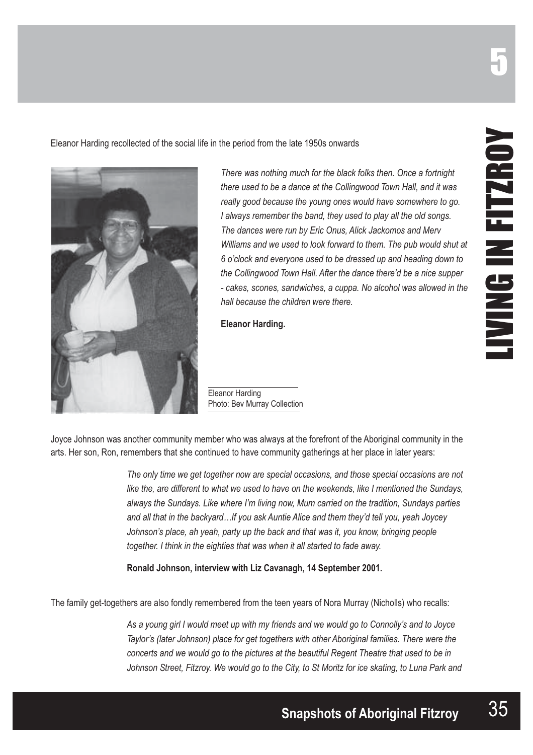Eleanor Harding recollected of the social life in the period from the late 1950s onwards



*There was nothing much for the black folks then. Once a fortnight there used to be a dance at the Collingwood Town Hall, and it was*  really good because the young ones would have somewhere to go. *I always remember the band, they used to play all the old songs. The dances were run by Eric Onus, Alick Jackomos and Merv Williams and we used to look forward to them. The pub would shut at 6 o'clock and eve ry one used to be dressed up and heading down to the Collingwood Town Hall. After the dance there'd be a nice supper - cakes, scones, sandwiches, a cuppa. No alcohol was allowed in the hall because the children were there.*

**Eleanor Harding.**

Eleanor Harding Photo: Bev Murray Collection

Joyce Johnson was another community member who was always at the forefront of the Aboriginal community in the arts. Her son, Ron, remembers that she continued to have community gatherings at her place in later years:

> *The only time we get together now are special occasions, and those special occasions are not like the, are different to what we used to have on the weekends, like I mentioned the Sundays, always the Sundays. Like where I'm living now, Mum carried on the tradition, Sundays parties and all that in the backyard…If you ask Auntie Alice and them they'd tell you, yeah Joycey Johnson's place, ah yeah, party up the back and that was it, you know, bringing people to geth er. I think in the eighties that was when it all started to fade away.*

**Ronald Johnson, interview with Liz Cavanagh, 14 September 2001.**

The family get-togethers are also fondly remembered from the teen years of Nora Murray (Nicholls) who recalls:

*As a young girl I would meet up with my friends and we would go to Connolly's and to Joyce Taylor's (later Johnson) place for get togethers with other Aboriginal families. There were the concerts and we would go to the pictures at the beautiful Regent Theatre that used to be in Johnson Street, Fitzroy. We would go to the City, to St Moritz for ice skating, to Luna Park and*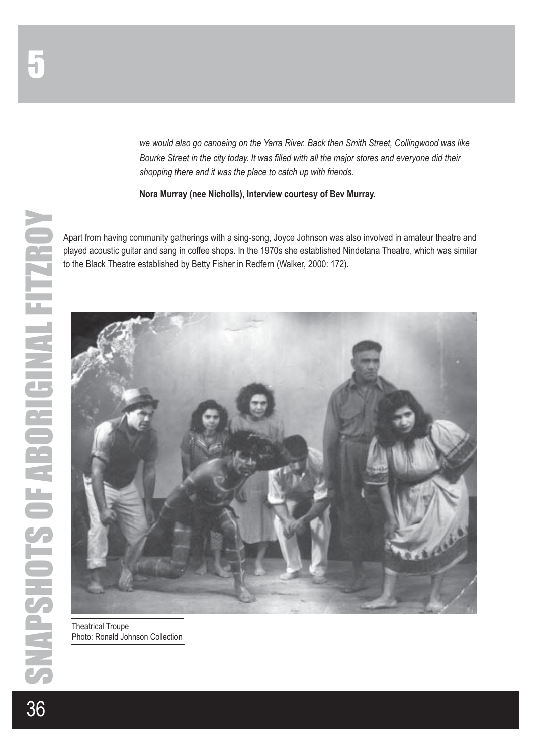*we would also go canoeing on the Yarra River. Back then Smith Street, Collingwood was like*  Bourke Street in the city today. It was filled with all the major stores and everyone did their *shopping there and it was the place to catch up with friends.*

#### **Nora Murray (nee Nicholls), Interview courtesy of Bev Murray.**

Apart from having community gatherings with a sing-song, Joyce Johnson was also involved in amateur theatre and played acoustic guitar and sang in coffee shops. In the 1970s she established Nindetana Theatre, which was similar to the Black Theatre established by Betty Fisher in Redfern (Walker, 2000: 172).



Theatrical Troupe Photo: Ronald Johnson Collection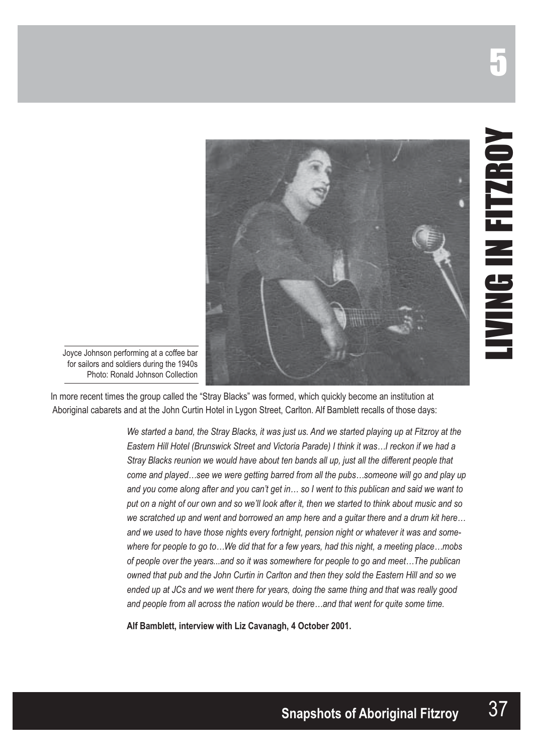

Joyce Johnson performing at a coffee bar for sailors and soldiers during the 1940s Photo: Ronald Johnson Collection

In more recent times the group called the "Stray Blacks" was formed, which quickly become an institution at Aboriginal cabarets and at the John Curtin Hotel in Lygon Street, Carlton. Alf Bamblett recalls of those days:

> *We started a band, the Stray Blacks, it was just us. And we started playing up at Fitzroy at the Eastern Hill Hotel (Brunswick Street and Victoria Parade) I think it was…I reckon if we had a Stray Blacks reunion we would have about ten bands all up, just all the different people that come and played…see we were getting barred from all the pubs…someone will go and play up*  and you come along after and you can't get in... so I went to this publican and said we want to *put on a night of our own and so we'll look after it, then we started to think about music and so we scratched up and went and borrowed an amp here and a guitar there and a drum kit here…* and we used to have those nights every fortnight, pension night or whatever it was and some *where for people to go to…We did that for a few years, had this night, a meeting place…mobs of people over the years...and so it was somewhere for people to go and meet…The publican owned that pub and the John Curtin in Carlton and then they sold the Eastern Hill and so we ended up at JCs and we went there for years, doing the same thing and that was really good and people from all across the nation would be there…and that went for quite some time.*

**Alf Bamblett, interview with Liz Cavanagh, 4 October 2001.**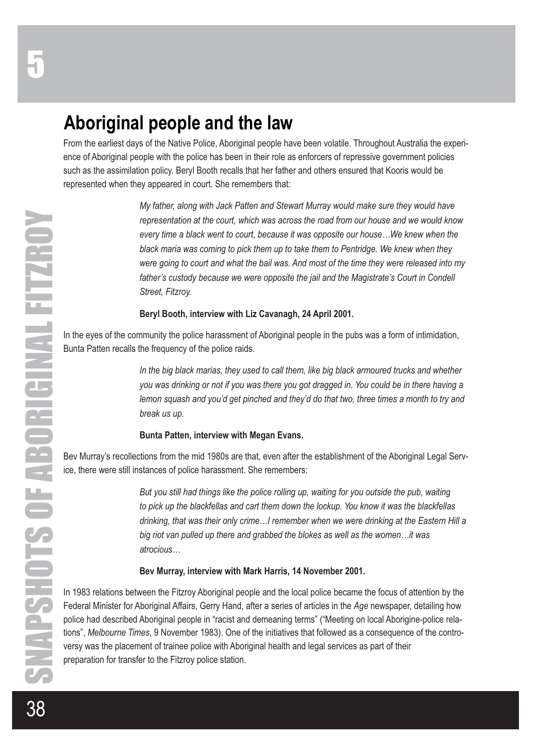# **Aboriginal people and the law**

From the earliest days of the Native Police, Aboriginal people have been volatile. Throughout Australia the experience of Aboriginal people with the police has been in their role as enforcers of repressive government policies such as the assimilation policy. Beryl Booth recalls that her father and others ensured that Kooris would be represented when they appeared in court. She remembers that:

> *My father, along with Jack Patten and Stewart Murray would make sure they would have representation at the court, which was across the road from our house and we would know every time a black went to court, because it was opposite our house…We knew when the black maria was coming to pick them up to take them to Pentridge. We knew when they were going to court and what the bail was. And most of the time they were released into my*  father's custody because we were opposite the jail and the Magistrate's Court in Condell *Street, Fitzroy.*

#### **Beryl Booth, interview with Liz Cavanagh, 24 April 2001.**

In the eyes of the community the police harassment of Aboriginal people in the pubs was a form of intimidation, Bunta Patten recalls the frequency of the police raids.

> *In the big black marias, they used to call them, like big black armoured trucks and whether you was drinking or not if you was there you got dragged in. You could be in there having a lemon squash and you'd get pinched and they'd do that two, three times a month to try and break us up.*

#### **Bunta Patten, interview with Megan Evans.**

Bev Murray's recollections from the mid 1980s are that, even after the establishment of the Aboriginal Legal Service, there were still instances of police harassment. She remembers:

> *But you still had things like the police rolling up, waiting for you outside the pub, waiting to pick up the blackfellas and cart them down the lockup. You know it was the blackfellas drinking, that was their only crime…I remember when we were drinking at the Eastern Hill a big riot van pulled up there and grabbed the blokes as well as the women…it was atrocious…*

#### **Bev Murray, interview with Mark Harris, 14 November 2001.**

In 1983 relations between the Fitzroy Aboriginal people and the local police became the focus of attention by the Federal Minister for Aboriginal Affairs, Gerry Hand, after a series of articles in the *Age* newspaper, detailing how police had described Aboriginal people in "racist and demeaning terms" ("Meeting on local Aborigine-police relations", *Melbourne Times*, 9 November 1983). One of the initiatives that followed as a consequence of the controversy was the placement of trainee police with Aboriginal health and legal services as part of their preparation for transfer to the Fitzroy police station.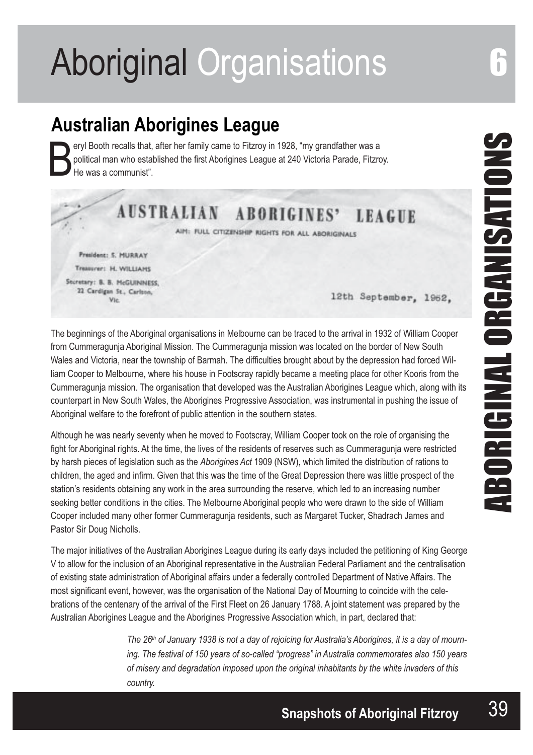# Aboriginal Organisations 6

## **Australian Aborigines League**

B eryl Booth recalls that, after her family came to Fitzroy in 1928, "my grandfather was a political man who established the first Aborigines League at 240 Victoria Parade, Fitzroy. He was a communist".

> AUSTRALIAN ABORIGINES' **LEAGHE**

AIM: FULL CITIZENSHIP RIGHTS FOR ALL ABORIGINALS

President: S. MURRAY Treasurer: H. WILLIAMS Secretary: B. B. McGUINNESS. 22 Cardigan St., Carlton, Vic

12th September, 1962.

The beginnings of the Aboriginal organisations in Melbourne can be traced to the arrival in 1932 of William Cooper from Cummeragunja Aboriginal Mission. The Cummeragunja mission was located on the border of New South Wales and Victoria, near the township of Barmah. The difficulties brought about by the depression had forced William Cooper to Melbourne, where his house in Footscray rapidly became a meeting place for other Kooris from the Cummeragunia mission. The organisation that developed was the Australian Aborigines League which, along with its counterpart in New South Wales, the Aborigines Progressive Association, was instrumental in pushing the issue of Aboriginal welfare to the forefront of public attention in the southern states.

Although he was nearly seventy when he moved to Footscray, William Cooper took on the role of organising the fight for Aboriginal rights. At the time, the lives of the residents of reserves such as Cummeragunia were restricted by harsh pieces of legislation such as the *Aborigines Act* 1909 (NSW), which limited the distribution of rations to children, the aged and infirm. Given that this was the time of the Great Depression there was little prospect of the station's residents obtaining any work in the area surrounding the reserve, which led to an increasing number seeking better conditions in the cities. The Melbourne Aboriginal people who were drawn to the side of William Cooper included many other former Cummeragunja residents, such as Margaret Tucker, Shadrach James and Pastor Sir Doug Nicholls.

The major initiatives of the Australian Aborigines League during its early days included the petitioning of King George V to allow for the inclusion of an Aboriginal representative in the Australian Federal Parliament and the centralisation of existing state administration of Aboriginal affairs under a federally controlled Department of Native Affairs. The most significant event, however, was the organisation of the National Day of Mourning to coincide with the celebrations of the centenary of the arrival of the First Fleet on 26 January 1788. A joint statement was prepared by the Australian Aborigines League and the Aborigines Progressive Association which, in part, declared that:

> *The 26th of January 1938 is not a day of rejoicing for Australia's Aborigines, it is a day of mourn*ing. The festival of 150 years of so-called "progress" in Australia commemorates also 150 years *of misery and deg ra da tion imposed upon the original inhabitants by the white invaders of this country.*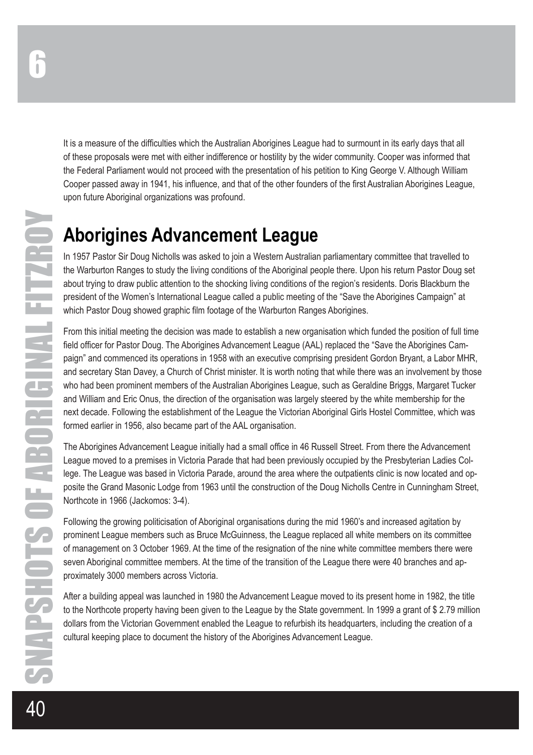SNAPSHOTS OF ABORIGINAL FITZROY HTZR 40 SNAPSHOTS OF ABORIGINAL It is a measure of the difficulties which the Australian Aborigines League had to surmount in its early days that all of these proposals were met with either indifference or hostility by the wider community. Cooper was in formed that the Federal Parliament would not proceed with the presentation of his petition to King George V. Although William Cooper passed away in 1941, his influence, and that of the other founders of the first Australian Aborigines League, upon future Aboriginal organizations was profound.

# **Aborigines Advancement League**

In 1957 Pastor Sir Doug Nicholls was asked to join a Western Australian parliamentary committee that travelled to the Warburton Ranges to study the living conditions of the Aboriginal people there. Upon his return Pastor Doug set about trying to draw public attention to the shocking living conditions of the region's residents. Doris Blackburn the president of the Women's International League called a public meeting of the "Save the Aborigines Campaign" at which Pastor Doug showed graphic film footage of the Warburton Ranges Aborigines.

From this initial meeting the decision was made to establish a new organisation which funded the position of full time field officer for Pastor Doug. The Aborigines Advancement League (AAL) replaced the "Save the Aborigines Campaign" and commenced its operations in 1958 with an executive comprising president Gordon Bryant, a Labor MHR, and secretary Stan Davey, a Church of Christ minister. It is worth noting that while there was an involvement by those who had been prominent members of the Australian Aborigines League, such as Geraldine Briggs, Margaret Tucker and William and Eric Onus, the direction of the organisation was largely steered by the white membership for the next decade. Following the establishment of the League the Victorian Aboriginal Girls Hostel Committee, which was formed earlier in 1956, also became part of the AAL organisation.

The Aborigines Advancement League initially had a small office in 46 Russell Street. From there the Advancement League moved to a premises in Victoria Parade that had been previously occupied by the Presbyterian Ladies College. The League was based in Victoria Parade, around the area where the outpatients clinic is now located and opposite the Grand Masonic Lodge from 1963 until the construction of the Doug Nicholls Centre in Cunningham Street, Northcote in 1966 (Jackomos: 3-4).

Following the growing politicisation of Aboriginal organisations during the mid 1960's and increased agitation by prominent League members such as Bruce McGuinness, the League replaced all white members on its committee of management on 3 October 1969. At the time of the resignation of the nine white committee members there were seven Aboriginal committee members. At the time of the transition of the League there were 40 branches and approximately 3000 members across Victoria.

After a building appeal was launched in 1980 the Advancement League moved to its present home in 1982, the title to the Northcote property having been given to the League by the State government. In 1999 a grant of \$ 2.79 million dollars from the Victorian Government enabled the League to refurbish its headquarters, including the creation of a cultural keeping place to document the history of the Aborigines Advancement League.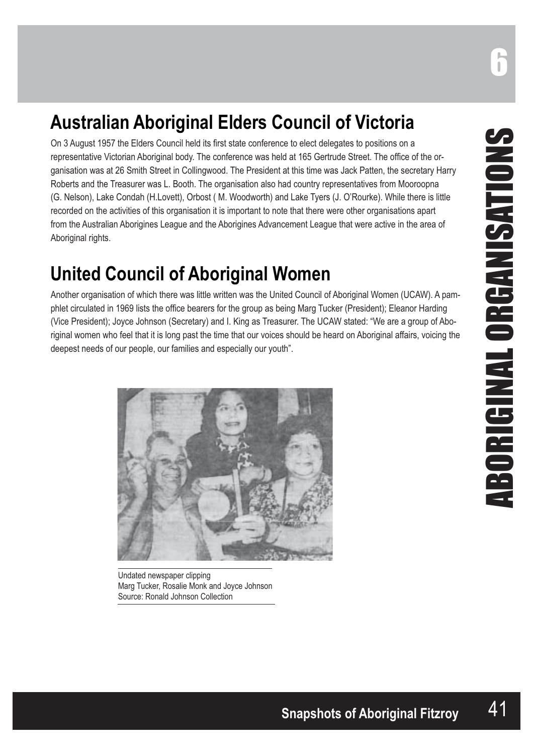# **Australian Aboriginal Elders Council of Victoria**

On 3 August 1957 the Elders Council held its first state conference to elect delegates to positions on a representative Victorian Aboriginal body. The conference was held at 165 Gertrude Street. The office of the organisation was at 26 Smith Street in Collingwood. The President at this time was Jack Patten, the secretary Harry Roberts and the Treasurer was L. Booth. The organisation also had country representatives from Mooroopna (G. Nelson), Lake Condah (H.Lovett), Orbost ( M. Woodworth) and Lake Tyers (J. O'Rourke). While there is little recorded on the activities of this organisation it is important to note that there were other organisations apart from the Australian Aborigines League and the Aborigines Advancement League that were active in the area of Aboriginal rights.

## **United Council of Aboriginal Women**

Another organisation of which there was little written was the United Council of Aboriginal Women (UCAW). A pamphlet circulated in 1969 lists the office bearers for the group as being Marg Tucker (President); Eleanor Harding (Vice President); Joyce Johnson (Secretary) and I. King as Treasurer. The UCAW stated: "We are a group of Aboriginal women who feel that it is long past the time that our voices should be heard on Aboriginal affairs, voicing the deepest needs of our people, our families and especially our youth".



Undated newspaper clipping Marg Tucker, Rosalie Monk and Joyce Johnson Source: Ronald Johnson Collection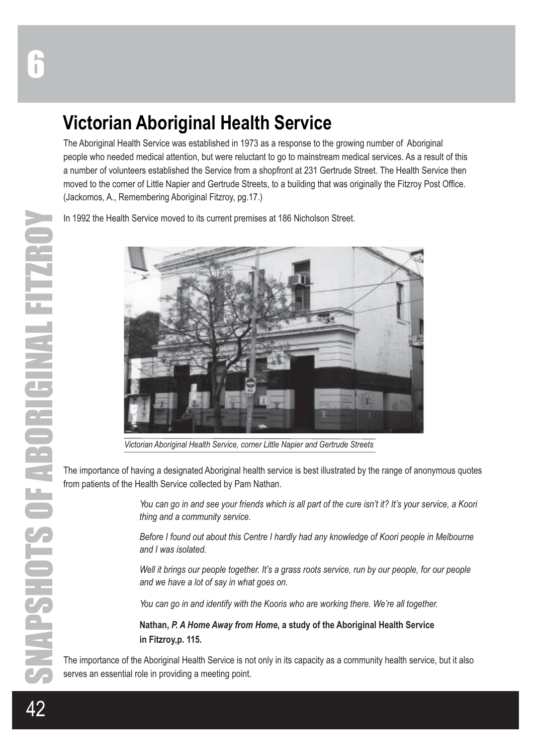# **Victorian Aboriginal Health Service**

The Aboriginal Health Service was established in 1973 as a response to the growing number of Aboriginal people who needed medical attention, but were reluctant to go to mainstream medical services. As a result of this a number of volunteers established the Service from a shopfront at 231 Gertrude Street. The Health Service then moved to the corner of Little Napier and Gertrude Streets, to a building that was originally the Fitzroy Post Office. (Jackomos, A., Remembering Aboriginal Fitzroy, pg.17.)

In 1992 the Health Service moved to its current premises at 186 Nicholson Street.



*Victorian Aboriginal Health Service, corner Little Napier and Gertrude Streets*

The importance of having a designated Aboriginal health service is best illustrated by the range of anonymous quotes from patients of the Health Service collected by Pam Nathan.

> *You can go in and see your friends which is all part of the cure isn't it? It's your service, a Koori thing and a community service.*

*Before I found out about this Centre I hardly had any knowledge of Koori people in Melbourne and I was isolated.*

*Well it brings our people together. It's a grass roots service, run by our people, for our people and we have a lot of say in what goes on.*

*You can go in and identify with the Kooris who are working there. We're all together.*

#### **Nathan,** *P. A Home Away from Home***, a study of the Aboriginal Health Service in Fitzroy,p. 115.**

The importance of the Aboriginal Health Service is not only in its capacity as a community health service, but it also serves an essential role in providing a meeting point.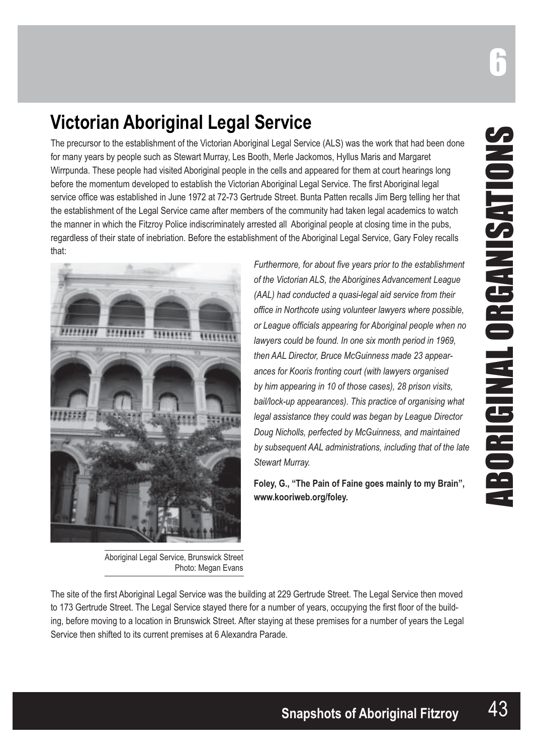# **Victorian Aboriginal Legal Service**

The precursor to the establishment of the Victorian Aboriginal Legal Service (ALS) was the work that had been done for many years by people such as Stewart Murray, Les Booth, Merle Jackomos, Hyllus Maris and Margaret Wirrpunda. These people had visited Aboriginal people in the cells and appeared for them at court hearings long before the momentum developed to establish the Victorian Aboriginal Legal Service. The first Aboriginal legal service office was established in June 1972 at 72-73 Gertrude Street. Bunta Patten recalls Jim Berg telling her that the establishment of the Legal Service came after members of the community had taken legal academics to watch the manner in which the Fitzroy Police indiscriminately arrested all Aboriginal people at closing time in the pubs, regardless of their state of inebriation. Before the establishment of the Aboriginal Legal Service, Gary Foley recalls that:



Aboriginal Legal Service, Brunswick Street Photo: Megan Evans

Furthermore, for about five years prior to the establishment *of the Victorian ALS, the Aborigines Advancement League (AAL) had conducted a quasi-legal aid service from their office in Northcote using volunteer lawyers where possible. or League offi cials appearing for Aboriginal people when no lawyers could be found. In one six month period in 1969, then AAL Director, Bruce McGuinness made 23 ap pear anc es for Kooris fronting court (with lawyers organised*  by him appearing in 10 of those cases), 28 prison visits, bail/lock-up appearances). This practice of organising what *legal assistance they could was began by League Director Doug Nicholls, perfected by McGuinness, and maintained by sub se quent AAL ad min is tra tions, including that of the late Stewart Murray.* 

**Foley, G., "The Pain of Faine goes mainly to my Brain", www.kooriweb.org/foley.**

The site of the first Aboriginal Legal Service was the building at 229 Gertrude Street. The Legal Service then moved to 173 Gertrude Street. The Legal Service stayed there for a number of years, occupying the first floor of the building, before moving to a location in Brunswick Street. After staying at these premises for a number of years the Legal Service then shifted to its current premises at 6 Alexandra Parade.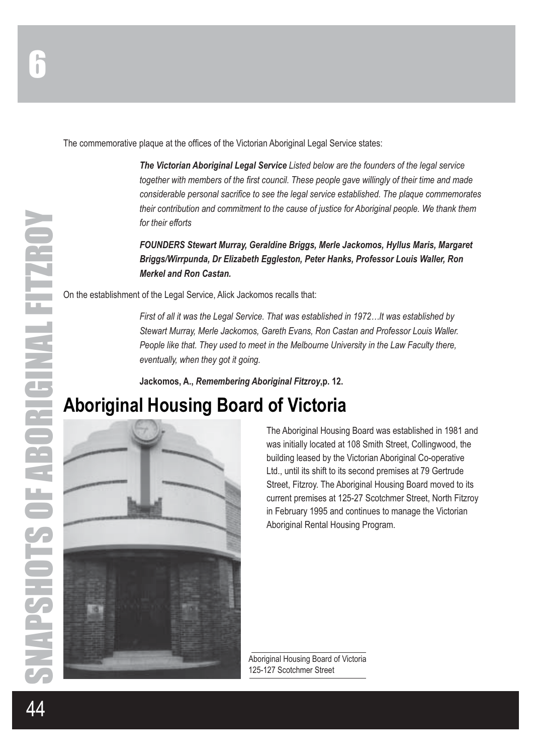The commemorative plaque at the offices of the Victorian Aboriginal Legal Service states:

*The Victorian Aboriginal Legal Service Listed below are the founders of the legal service together with members of the first council. These people gave willingly of their time and made* considerable personal sacrifice to see the legal service established. The plaque commemorates *their contribution and commitment to the cause of justice for Aboriginal people. We thank them for their efforts*

*FOUNDERS Stewart Murray, Geraldine Briggs, Merle Jackomos, Hyllus Maris, Margaret Briggs/Wirrpunda, Dr Elizabeth Eggleston, Peter Hanks, Professor Louis Waller, Ron Merkel and Ron Castan.*

On the establishment of the Legal Service, Alick Jackomos recalls that:

*First of all it was the Legal Service. That was established in 1972…It was established by Stewart Murray, Merle Jackomos, Gareth Evans, Ron Castan and Professor Louis Waller. People like that. They used to meet in the Melbourne University in the Law Faculty there, eventually, when they got it going.*

**Jackomos, A.,** *Remembering Aboriginal Fitzroy***,p. 12.**

# **Aboriginal Housing Board of Victoria**



The Aboriginal Housing Board was established in 1981 and was initially located at 108 Smith Street, Collingwood, the building leased by the Victorian Aboriginal Co-operative Ltd., until its shift to its second premises at 79 Gertrude Street, Fitzroy. The Aboriginal Housing Board moved to its current premises at 125-27 Scotchmer Street, North Fitzroy in February 1995 and continues to manage the Victorian Aboriginal Rental Housing Program.

Aboriginal Housing Board of Victoria 125-127 Scotchmer Street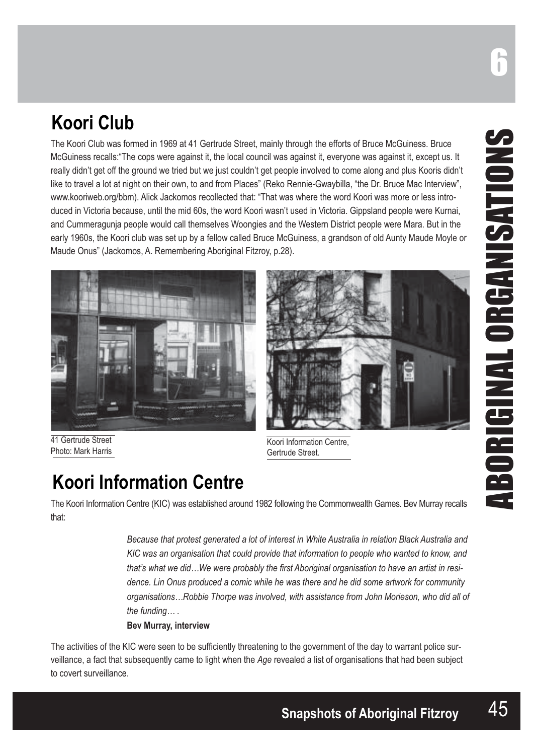# **Koori Club**

The Koori Club was formed in 1969 at 41 Gertrude Street, mainly through the efforts of Bruce McGuiness. Bruce McGuiness recalls:"The cops were against it, the local council was against it, everyone was against it, except us. It really didn't get off the ground we tried but we just couldn't get people involved to come along and plus Kooris didn't like to travel a lot at night on their own, to and from Places" (Reko Rennie-Gwaybilla, "the Dr. Bruce Mac Interview", www.kooriweb.org/bbm). Alick Jackomos recollected that: "That was where the word Koori was more or less introduced in Victoria because, until the mid 60s, the word Koori wasn't used in Victoria. Gippsland people were Kurnai, and Cummeragunja people would call themselves Woongies and the Western District people were Mara. But in the early 1960s, the Koori club was set up by a fellow called Bruce McGuiness, a grandson of old Aunty Maude Moyle or Maude Onus" (Jackomos, A. Remembering Aboriginal Fitzroy, p.28).



41 Gertrude Street Photo: Mark Harris

# **Koori Information Centre**

The Koori Information Centre (KIC) was established around 1982 following the Commonwealth Games. Bev Murray recalls that:

> *Because that protest generated a lot of interest in White Australia in relation Black Australia and KIC was an organisation that could provide that information to people who wanted to know, and*  that's what we did...We were probably the first Aboriginal organisation to have an artist in resi*dence. Lin Onus produced a comic while he was there and he did some artwork for community organisations…Robbie Thorpe was involved, with assistance from John Morieson, who did all of the funding… .*

Koori Information Centre,

Gertrude Street.

#### **Bev Murray, interview**

The activities of the KIC were seen to be sufficiently threatening to the government of the day to warrant police surveillance, a fact that subsequently came to light when the *Age* revealed a list of organisations that had been subject to covert surveillance.

6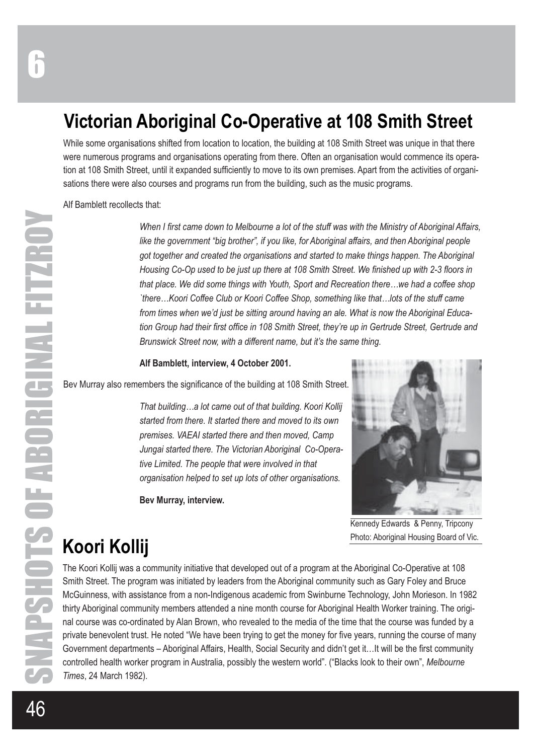# **Victorian Aboriginal Co-Operative at 108 Smith Street**

While some organisations shifted from location to location, the building at 108 Smith Street was unique in that there were numerous programs and organisations operating from there. Often an organisation would commence its operation at 108 Smith Street, until it expanded sufficiently to move to its own premises. Apart from the activities of organisations there were also courses and programs run from the building, such as the music programs.

Alf Bamblett recollects that:

*When I first came down to Melbourne a lot of the stuff was with the Ministry of Aboriginal Affairs, like the government "big brother", if you like, for Aboriginal affairs, and then Aboriginal people got together and created the organisations and started to make things happen. The Aboriginal*  Housing Co-Op used to be just up there at 108 Smith Street. We finished up with 2-3 floors in *that place. We did some things with Youth, Sport and Recreation there…we had a coffee shop `there…Koori Coffee Club or Koori Coffee Shop, something like that…lots of the stuff came from times when we'd just be sitting around having an ale. What is now the Aboriginal Education Group had their first office in 108 Smith Street, they're up in Gertrude Street, Gertrude and Brunswick Street now, with a different name, but it's the same thing.*

**Alf Bamblett, interview, 4 October 2001.**

Bev Murray also remembers the significance of the building at 108 Smith Street.

*That building…a lot came out of that building. Koori Kollij started from there. It started there and moved to its own premises. VAEAI started there and then moved, Camp Jungai started there. The Victorian Aboriginal Co-Operative Limited. The people that were involved in that organisation helped to set up lots of other organisations.* 

**Bev Murray, interview.**



Kennedy Edwards & Penny, Tripcony Photo: Aboriginal Housing Board of Vic.

# **Koori Kollij**

The Koori Kollij was a community initiative that developed out of a program at the Aboriginal Co-Operative at 108 Smith Street. The program was initiated by leaders from the Aboriginal community such as Gary Foley and Bruce McGuinness, with assistance from a non-Indigenous academic from Swinburne Technology, John Morieson. In 1982 thirty Aboriginal community members attended a nine month course for Aboriginal Health Worker training. The original course was co-ordinated by Alan Brown, who revealed to the media of the time that the course was funded by a private benevolent trust. He noted "We have been trying to get the money for five years, running the course of many Government departments – Aboriginal Affairs, Health, Social Security and didn't get it...It will be the first community controlled health worker program in Australia, possibly the western world". ("Blacks look to their own", *Melbourne Times*, 24 March 1982).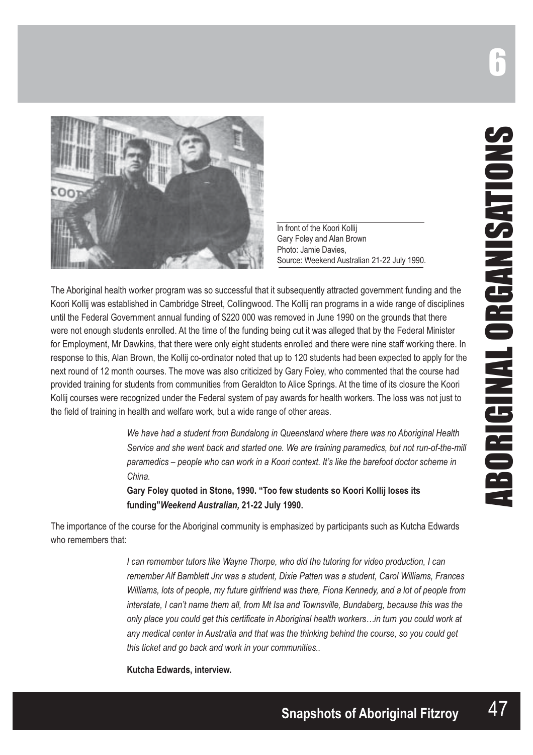6



In front of the Koori Kollij Gary Foley and Alan Brown Photo: Jamie Davies, Source: Weekend Australian 21-22 July 1990.

The Aboriginal health worker program was so successful that it subsequently attracted government funding and the Koori Kollij was established in Cambridge Street, Collingwood. The Kollij ran programs in a wide range of disciplines until the Federal Government annual funding of \$220 000 was removed in June 1990 on the grounds that there were not enough students enrolled. At the time of the funding being cut it was alleged that by the Federal Minister for Employment, Mr Dawkins, that there were only eight students enrolled and there were nine staff working there. In response to this, Alan Brown, the Kollij co-ordinator noted that up to 120 students had been expected to apply for the next round of 12 month courses. The move was also criticized by Gary Foley, who commented that the course had provided training for students from communities from Geraldton to Alice Springs. At the time of its closure the Koori Kollij courses were recognized under the Federal system of pay awards for health workers. The loss was not just to the field of training in health and welfare work, but a wide range of other areas.

> *We have had a student from Bundalong in Queensland where there was no Aboriginal Health Service and she went back and started one. We are training paramedics, but not run-of-the-mill paramedics – people who can work in a Koori context. It's like the barefoot doctor scheme in China.*

**Gary Foley quoted in Stone, 1990. "Too few students so Koori Kollij loses its funding"***Weekend Australian,* **21-22 July 1990.**

The importance of the course for the Aboriginal community is emphasized by participants such as Kutcha Edwards who remembers that:

> *I can remember tutors like Wayne Thorpe, who did the tutoring for video production, I can remember Alf Bamblett Jnr was a student, Dixie Patten was a student, Carol Williams, Frances Williams, lots of people, my future girlfriend was there, Fiona Kennedy, and a lot of people from interstate, I can't name them all, from Mt Isa and Townsville, Bundaberg, because this was the*  only place you could get this certificate in Aboriginal health workers...in turn you could work at *any medical center in Australia and that was the thinking behind the course, so you could get this ticket and go back and work in your communities..*

**Kutcha Edwards, interview.**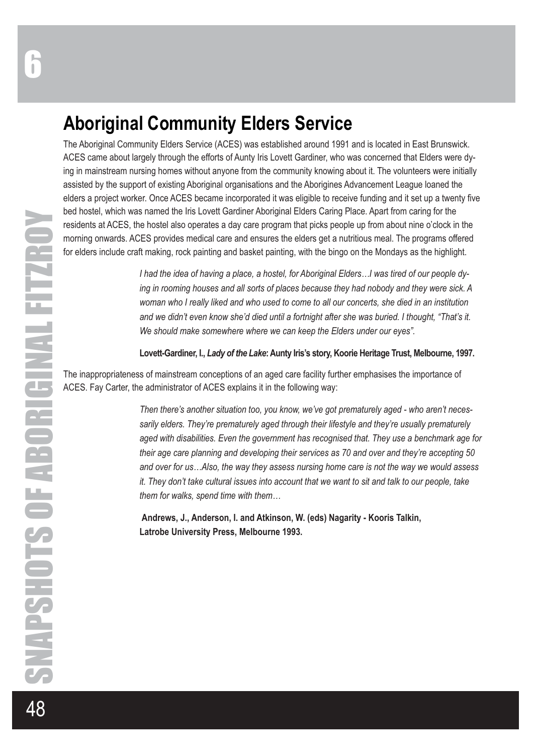# **Aboriginal Community Elders Service**

The Aboriginal Community Elders Service (ACES) was established around 1991 and is located in East Brunswick. ACES came about largely through the efforts of Aunty Iris Lovett Gardiner, who was concerned that Elders were dying in mainstream nursing homes without anyone from the community knowing about it. The volunteers were initially assisted by the support of existing Aboriginal organisations and the Aborigines Advancement League loaned the elders a project worker. Once ACES became incorporated it was eligible to receive funding and it set up a twenty five bed hostel, which was named the Iris Lovett Gardiner Aboriginal Elders Caring Place. Apart from caring for the residents at ACES, the hostel also operates a day care program that picks people up from about nine o'clock in the morning onwards. ACES provides medical care and ensures the elders get a nutritious meal. The programs offered for elders include craft making, rock painting and basket painting, with the bingo on the Mondays as the highlight.

> *I had the idea of having a place, a hostel, for Aboriginal Elders…I was tired of our people dying in rooming houses and all sorts of places because they had nobody and they were sick. A woman who I really liked and who used to come to all our concerts, she died in an institution and we didn't even know she'd died until a fortnight after she was buried. I thought, "That's it. We should make somewhere where we can keep the Elders under our eyes".*

> **Lovett-Gardiner, I.,** *Lady of the Lake***: Aunty Iris's story, Koorie Heritage Trust, Melbourne, 1997.**

The inappropriateness of mainstream conceptions of an aged care facility further emphasises the importance of ACES. Fay Carter, the administrator of ACES explains it in the following way:

> *Then there's another situation too, you know, we've got prematurely aged - who aren't neces*sarily elders. They're prematurely aged through their lifestyle and they're usually prematurely *aged with disabilities. Even the government has recognised that. They use a benchmark age for their age care planning and developing their services as 70 and over and they're accepting 50 and over for us…Also, the way they assess nursing home care is not the way we would assess it. They don't take cultural issues into account that we want to sit and talk to our people, take them for walks, spend time with them…*

**Andrews, J., Anderson, I. and Atkinson, W. (eds) Nagarity - Kooris Talkin, Latrobe University Press, Melbourne 1993.**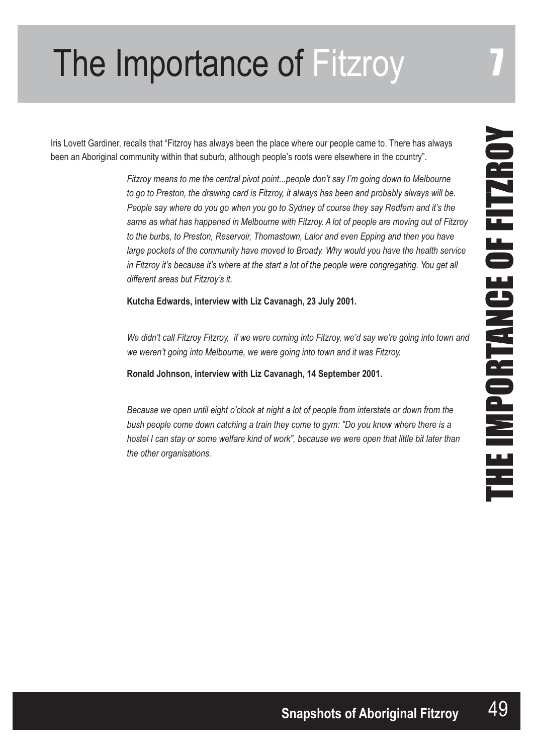# The Importance of Fitzroy

Iris Lovett Gardiner, recalls that "Fitzroy has always been the place where our people came to. There has always been an Aboriginal community within that suburb, although people's roots were elsewhere in the country".

> *Fitzroy means to me the central pivot point...people don't say I'm going down to Melbourne to go to Preston, the drawing card is Fitzroy, it always has been and probably always will be. People say where do you go when you go to Sydney of course they say Redfern and it's the same as what has happened in Melbourne with Fitzroy. A lot of people are moving out of Fitzroy to the burbs, to Preston, Reservoir, Thomastown, Lalor and even Epping and then you have large pockets of the community have moved to Broady. Why would you have the health service*  in Fitzroy it's because it's where at the start a lot of the people were congregating. You get all *different areas but Fitzroy's it.*

**Kutcha Edwards, interview with Liz Cavanagh, 23 July 2001.**

*We didn't call Fitzroy Fitzroy, if we were coming into Fitzroy, we'd say we're going into town and we weren't going into Melbourne, we were going into town and it was Fitzroy.* 

**R***o***nald Johnson, interview with Liz Cavanagh, 14 September 2001.**

*Because we open until eight o'clock at night a lot of people from interstate or down from the bush people come down catching a train they come to gym: "Do you know where there is a hostel I can stay or some welfare kind of work", because we were open that little bit later than the other organisations.*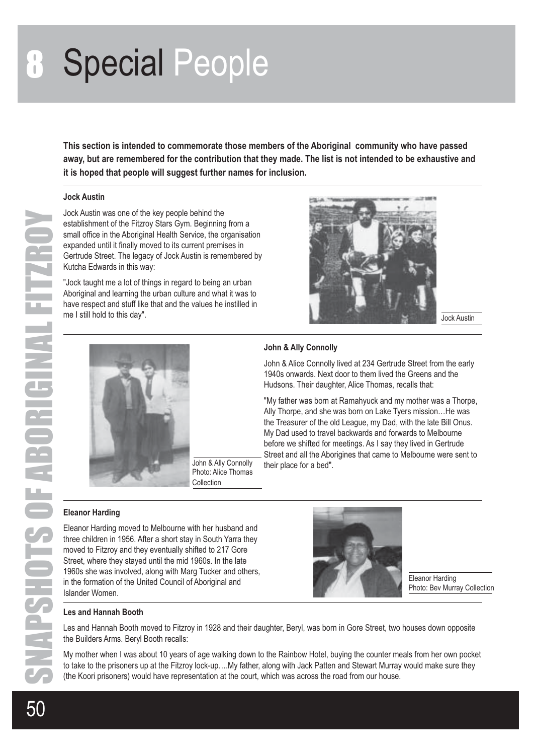# 8 Special People

**This section is intended to commemorate those members of the Aboriginal community who have passed**  away, but are remembered for the contribution that they made. The list is not intended to be exhaustive and **it is hoped that people will suggest further names for inclusion.**

#### **Jock Austin**

Jock Austin was one of the key people behind the establishment of the Fitzroy Stars Gym. Beginning from a small office in the Aboriginal Health Service, the organisation expanded until it finally moved to its current premises in Gertrude Street. The legacy of Jock Austin is remembered by Kutcha Edwards in this way:

"Jock taught me a lot of things in regard to being an urban Aboriginal and learning the urban culture and what it was to have respect and stuff like that and the values he instilled in me I still hold to this day".



Jock Austin



John & Ally Connolly Photo: Alice Thomas Collection

#### **John & Ally Connolly**

John & Alice Connolly lived at 234 Gertrude Street from the early 1940s onwards. Next door to them lived the Greens and the Hudsons. Their daughter, Alice Thomas, recalls that:

"My father was born at Ramahyuck and my mother was a Thorpe, Ally Thorpe, and she was born on Lake Tyers mission…He was the Treasurer of the old League, my Dad, with the late Bill Onus. My Dad used to travel backwards and forwards to Melbourne before we shifted for meetings. As I say they lived in Gertrude Street and all the Aborigines that came to Melbourne were sent to their place for a bed".

#### **Eleanor Harding**

Eleanor Harding moved to Melbourne with her husband and three children in 1956. After a short stay in South Yarra they moved to Fitzroy and they eventually shifted to 217 Gore Street, where they stayed until the mid 1960s. In the late 1960s she was involved, along with Marg Tucker and others, in the formation of the United Council of Aboriginal and Islander Women.

Eleanor Harding Photo: Bev Murray Collection

#### **Les and Hannah Booth**

Les and Hannah Booth moved to Fitzroy in 1928 and their daughter, Beryl, was born in Gore Street, two houses down opposite the Builders Arms. Beryl Booth recalls:

My mother when I was about 10 years of age walking down to the Rainbow Hotel, buying the counter meals from her own pocket to take to the prisoners up at the Fitzroy lock-up….My father, along with Jack Patten and Stewart Murray would make sure they (the Koori prisoners) would have representation at the court, which was across the road from our house.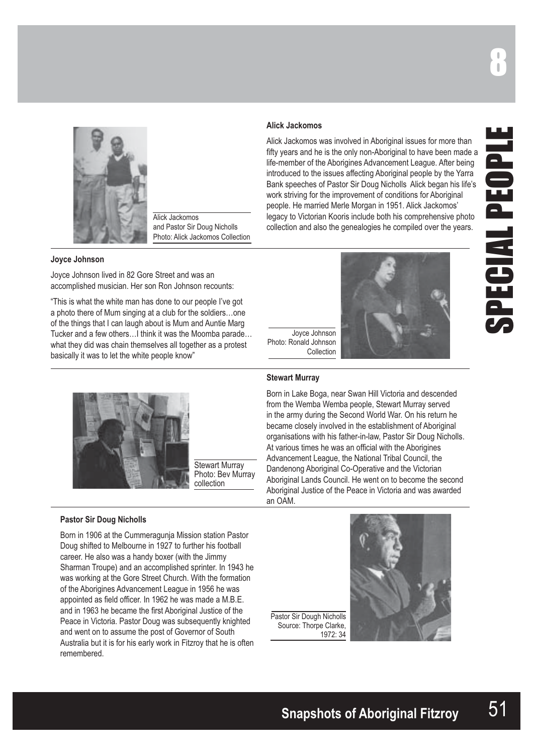

Alick Jackomos and Pastor Sir Doug Nicholls Photo: Alick Jackomos Collection

#### **Joyce Johnson**

Joyce Johnson lived in 82 Gore Street and was an accomplished musician. Her son Ron Johnson recounts:

"This is what the white man has done to our people I've got a photo there of Mum singing at a club for the soldiers…one of the things that I can laugh about is Mum and Auntie Marg Tucker and a few others…I think it was the Moomba parade… what they did was chain themselves all together as a protest basically it was to let the white people know"



Stewart Murray Photo: Bev Murray collection

#### **Pastor Sir Doug Nicholls**

Born in 1906 at the Cummeragunja Mission station Pastor Doug shifted to Melbourne in 1927 to further his football career. He also was a handy boxer (with the Jimmy Sharman Troupe) and an accomplished sprinter. In 1943 he was working at the Gore Street Church. With the formation of the Aborigines Advancement League in 1956 he was appointed as field officer. In 1962 he was made a M.B.E. and in 1963 he became the first Aboriginal Justice of the Peace in Victoria. Pastor Doug was subsequently knighted and went on to assume the post of Governor of South Australia but it is for his early work in Fitzroy that he is often remembered.

#### **Alick Jackomos**

Alick Jackomos was involved in Aboriginal issues for more than fifty years and he is the only non-Aboriginal to have been made a life-member of the Aborigines Advancement League. After being introduced to the issues affecting Aboriginal people by the Yarra Bank speeches of Pastor Sir Doug Nicholls Alick began his life's work striving for the improvement of conditions for Aboriginal people. He married Merle Morgan in 1951. Alick Jackomos' legacy to Victorian Kooris include both his comprehensive photo collection and also the genealogies he compiled over the years.



Joyce Johnson Photo: Ronald Johnson **Collection** 

#### **Stewart Murray**

Born in Lake Boga, near Swan Hill Victoria and descended from the Wemba Wemba people, Stewart Murray served in the army during the Second World War. On his return he became closely involved in the establishment of Aboriginal organisations with his father-in-law, Pastor Sir Doug Nicholls. At various times he was an official with the Aborigines Advancement League, the National Tribal Council, the Dandenong Aboriginal Co-Operative and the Victorian Aboriginal Lands Council. He went on to become the second Aboriginal Justice of the Peace in Victoria and was awarded an OAM.

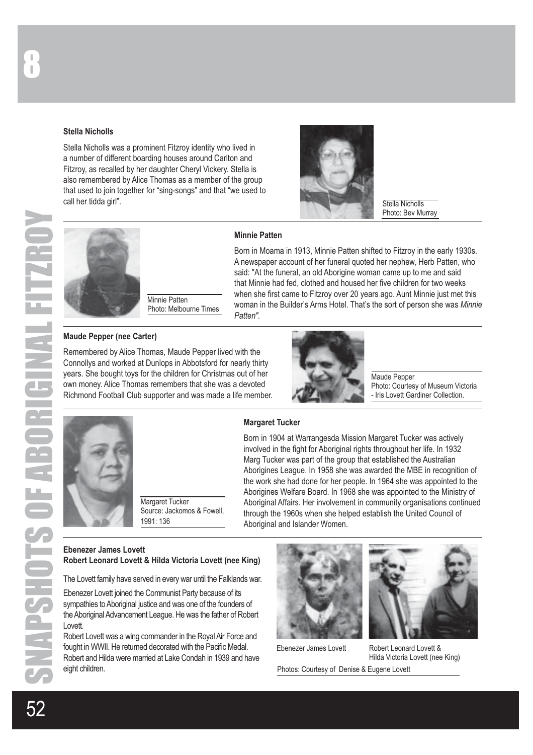#### **Stella Nicholls**

Stella Nicholls was a prominent Fitzroy identity who lived in a number of different boarding houses around Carlton and Fitzroy, as recalled by her daughter Cheryl Vickery. Stella is also remembered by Alice Thomas as a member of the group that used to join together for "sing-songs" and that "we used to call her tidda girl".



Born in Moama in 1913, Minnie Patten shifted to Fitzroy in the early 1930s. A newspaper account of her funeral quoted her nephew, Herb Patten, who said: "At the funeral, an old Aborigine woman came up to me and said that Minnie had fed, clothed and housed her five children for two weeks when she first came to Fitzroy over 20 years ago. Aunt Minnie just met this woman in the Builder's Arms Hotel. That's the sort of person she was *Minnie* 

Stella Nicholls Photo: Bev Murray



Minnie Patten Photo: Melbourne Times

#### **Maude Pepper (nee Carter)**

Remembered by Alice Thomas, Maude Pepper lived with the Connollys and worked at Dunlops in Abbotsford for nearly thirty years. She bought toys for the children for Christmas out of her own money. Alice Thomas remembers that she was a devoted Richmond Football Club supporter and was made a life member.



Maude Pepper Photo: Courtesy of Museum Victoria - Iris Lovett Gardiner Collection.



**Margaret Tucker** 

**Minnie Patten** 

*Patten".*

Born in 1904 at Warrangesda Mission Margaret Tucker was actively involved in the fight for Aboriginal rights throughout her life. In 1932 Marg Tucker was part of the group that established the Australian Aborigines League. In 1958 she was awarded the MBE in recognition of the work she had done for her people. In 1964 she was appointed to the Aborigines Welfare Board. In 1968 she was appointed to the Ministry of Aboriginal Affairs. Her involvement in community organisations continued through the 1960s when she helped establish the United Council of Aboriginal and Islander Women.

#### **Ebenezer James Lovett Robert Leonard Lovett & Hilda Victoria Lovett (nee King)**

Margaret Tucker

1991: 136

Source: Jackomos & Fowell,

The Lovett family have served in every war until the Falklands war.

Ebenezer Lovett joined the Communist Party because of its sympathies to Aboriginal justice and was one of the founders of the Aboriginal Advancement League. He was the father of Robert Lovett.

Robert Lovett was a wing commander in the Royal Air Force and fought in WWII. He returned decorated with the Pacific Medal. Robert and Hilda were married at Lake Condah in 1939 and have eight children.





Ebenezer James Lovett Robert Leonard Lovett & Hilda Victoria Lovett (nee King)

Photos: Courtesy of Denise & Eugene Lovett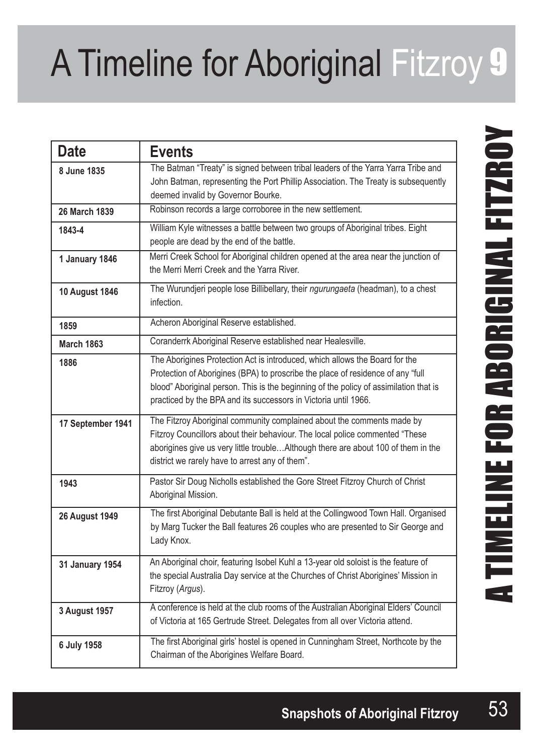# A Timeline for Aboriginal Fitzroy 9

| <b>Date</b>           | <b>Events</b>                                                                                                                                                                                                                                                                                                              |
|-----------------------|----------------------------------------------------------------------------------------------------------------------------------------------------------------------------------------------------------------------------------------------------------------------------------------------------------------------------|
| 8 June 1835           | The Batman "Treaty" is signed between tribal leaders of the Yarra Yarra Tribe and<br>John Batman, representing the Port Phillip Association. The Treaty is subsequently<br>deemed invalid by Governor Bourke.                                                                                                              |
| 26 March 1839         | Robinson records a large corroboree in the new settlement.                                                                                                                                                                                                                                                                 |
| 1843-4                | William Kyle witnesses a battle between two groups of Aboriginal tribes. Eight<br>people are dead by the end of the battle.                                                                                                                                                                                                |
| 1 January 1846        | Merri Creek School for Aboriginal children opened at the area near the junction of<br>the Merri Merri Creek and the Yarra River.                                                                                                                                                                                           |
| <b>10 August 1846</b> | The Wurundjeri people lose Billibellary, their ngurungaeta (headman), to a chest<br>infection.                                                                                                                                                                                                                             |
| 1859                  | Acheron Aboriginal Reserve established.                                                                                                                                                                                                                                                                                    |
| <b>March 1863</b>     | Coranderrk Aboriginal Reserve established near Healesville.                                                                                                                                                                                                                                                                |
| 1886                  | The Aborigines Protection Act is introduced, which allows the Board for the<br>Protection of Aborigines (BPA) to proscribe the place of residence of any "full<br>blood" Aboriginal person. This is the beginning of the policy of assimilation that is<br>practiced by the BPA and its successors in Victoria until 1966. |
| 17 September 1941     | The Fitzroy Aboriginal community complained about the comments made by<br>Fitzroy Councillors about their behaviour. The local police commented "These<br>aborigines give us very little troubleAlthough there are about 100 of them in the<br>district we rarely have to arrest any of them".                             |
| 1943                  | Pastor Sir Doug Nicholls established the Gore Street Fitzroy Church of Christ<br>Aboriginal Mission.                                                                                                                                                                                                                       |
| <b>26 August 1949</b> | The first Aboriginal Debutante Ball is held at the Collingwood Town Hall. Organised<br>by Marg Tucker the Ball features 26 couples who are presented to Sir George and<br>Lady Knox.                                                                                                                                       |
| 31 January 1954       | An Aboriginal choir, featuring Isobel Kuhl a 13-year old soloist is the feature of<br>the special Australia Day service at the Churches of Christ Aborigines' Mission in<br>Fitzroy (Argus).                                                                                                                               |
| 3 August 1957         | A conference is held at the club rooms of the Australian Aboriginal Elders' Council<br>of Victoria at 165 Gertrude Street. Delegates from all over Victoria attend.                                                                                                                                                        |
| 6 July 1958           | The first Aboriginal girls' hostel is opened in Cunningham Street, Northcote by the<br>Chairman of the Aborigines Welfare Board.                                                                                                                                                                                           |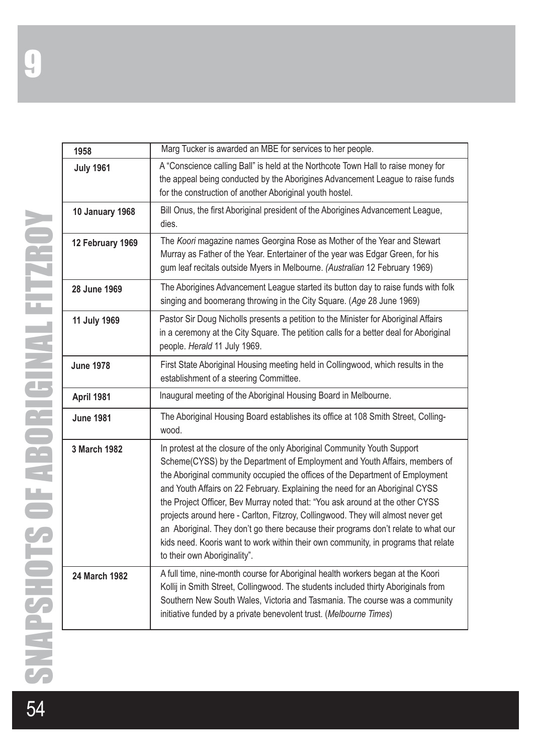| Marg Tucker is awarded an MBE for services to her people.                                                                                                                                                                                                                                                                                                                                                                                                                                                                                                                                                                                                                                                |
|----------------------------------------------------------------------------------------------------------------------------------------------------------------------------------------------------------------------------------------------------------------------------------------------------------------------------------------------------------------------------------------------------------------------------------------------------------------------------------------------------------------------------------------------------------------------------------------------------------------------------------------------------------------------------------------------------------|
| A "Conscience calling Ball" is held at the Northcote Town Hall to raise money for<br>the appeal being conducted by the Aborigines Advancement League to raise funds<br>for the construction of another Aboriginal youth hostel.                                                                                                                                                                                                                                                                                                                                                                                                                                                                          |
| Bill Onus, the first Aboriginal president of the Aborigines Advancement League,<br>dies.                                                                                                                                                                                                                                                                                                                                                                                                                                                                                                                                                                                                                 |
| The Koori magazine names Georgina Rose as Mother of the Year and Stewart<br>Murray as Father of the Year. Entertainer of the year was Edgar Green, for his<br>gum leaf recitals outside Myers in Melbourne. (Australian 12 February 1969)                                                                                                                                                                                                                                                                                                                                                                                                                                                                |
| The Aborigines Advancement League started its button day to raise funds with folk<br>singing and boomerang throwing in the City Square. (Age 28 June 1969)                                                                                                                                                                                                                                                                                                                                                                                                                                                                                                                                               |
| Pastor Sir Doug Nicholls presents a petition to the Minister for Aboriginal Affairs<br>in a ceremony at the City Square. The petition calls for a better deal for Aboriginal<br>people. Herald 11 July 1969.                                                                                                                                                                                                                                                                                                                                                                                                                                                                                             |
| First State Aboriginal Housing meeting held in Collingwood, which results in the<br>establishment of a steering Committee.                                                                                                                                                                                                                                                                                                                                                                                                                                                                                                                                                                               |
| Inaugural meeting of the Aboriginal Housing Board in Melbourne.                                                                                                                                                                                                                                                                                                                                                                                                                                                                                                                                                                                                                                          |
| The Aboriginal Housing Board establishes its office at 108 Smith Street, Colling-<br>wood.                                                                                                                                                                                                                                                                                                                                                                                                                                                                                                                                                                                                               |
| In protest at the closure of the only Aboriginal Community Youth Support<br>Scheme(CYSS) by the Department of Employment and Youth Affairs, members of<br>the Aboriginal community occupied the offices of the Department of Employment<br>and Youth Affairs on 22 February. Explaining the need for an Aboriginal CYSS<br>the Project Officer, Bev Murray noted that: "You ask around at the other CYSS<br>projects around here - Carlton, Fitzroy, Collingwood. They will almost never get<br>an Aboriginal. They don't go there because their programs don't relate to what our<br>kids need. Kooris want to work within their own community, in programs that relate<br>to their own Aboriginality". |
| A full time, nine-month course for Aboriginal health workers began at the Koori<br>Kollij in Smith Street, Collingwood. The students included thirty Aboriginals from<br>Southern New South Wales, Victoria and Tasmania. The course was a community<br>initiative funded by a private benevolent trust. (Melbourne Times)                                                                                                                                                                                                                                                                                                                                                                               |
|                                                                                                                                                                                                                                                                                                                                                                                                                                                                                                                                                                                                                                                                                                          |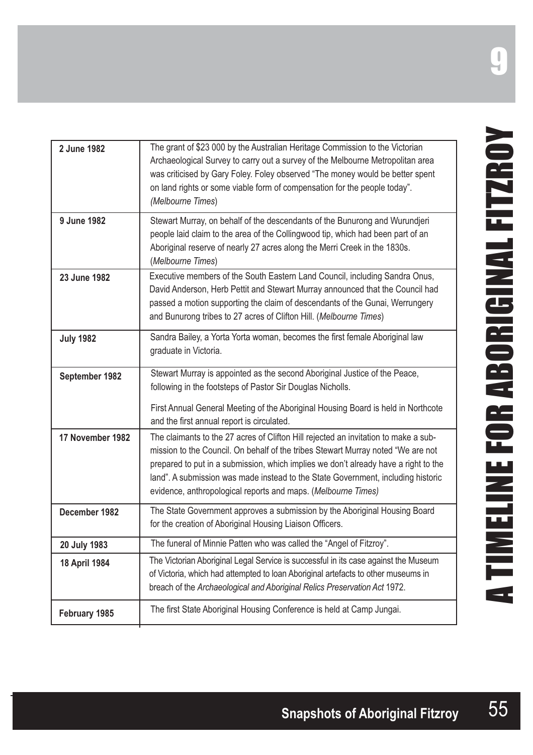| 2 June 1982      | The grant of \$23 000 by the Australian Heritage Commission to the Victorian<br>Archaeological Survey to carry out a survey of the Melbourne Metropolitan area<br>was criticised by Gary Foley. Foley observed "The money would be better spent<br>on land rights or some viable form of compensation for the people today".<br>(Melbourne Times)                                                                   |
|------------------|---------------------------------------------------------------------------------------------------------------------------------------------------------------------------------------------------------------------------------------------------------------------------------------------------------------------------------------------------------------------------------------------------------------------|
| 9 June 1982      | Stewart Murray, on behalf of the descendants of the Bunurong and Wurundjeri<br>people laid claim to the area of the Collingwood tip, which had been part of an<br>Aboriginal reserve of nearly 27 acres along the Merri Creek in the 1830s.<br>(Melbourne Times)                                                                                                                                                    |
| 23 June 1982     | Executive members of the South Eastern Land Council, including Sandra Onus,<br>David Anderson, Herb Pettit and Stewart Murray announced that the Council had<br>passed a motion supporting the claim of descendants of the Gunai, Werrungery<br>and Bunurong tribes to 27 acres of Clifton Hill. (Melbourne Times)                                                                                                  |
| <b>July 1982</b> | Sandra Bailey, a Yorta Yorta woman, becomes the first female Aboriginal law<br>graduate in Victoria.                                                                                                                                                                                                                                                                                                                |
| September 1982   | Stewart Murray is appointed as the second Aboriginal Justice of the Peace,<br>following in the footsteps of Pastor Sir Douglas Nicholls.<br>First Annual General Meeting of the Aboriginal Housing Board is held in Northcote<br>and the first annual report is circulated.                                                                                                                                         |
| 17 November 1982 | The claimants to the 27 acres of Clifton Hill rejected an invitation to make a sub-<br>mission to the Council. On behalf of the tribes Stewart Murray noted "We are not<br>prepared to put in a submission, which implies we don't already have a right to the<br>land". A submission was made instead to the State Government, including historic<br>evidence, anthropological reports and maps. (Melbourne Times) |
| December 1982    | The State Government approves a submission by the Aboriginal Housing Board<br>for the creation of Aboriginal Housing Liaison Officers.                                                                                                                                                                                                                                                                              |
| 20 July 1983     | The funeral of Minnie Patten who was called the "Angel of Fitzroy".                                                                                                                                                                                                                                                                                                                                                 |
| 18 April 1984    | The Victorian Aboriginal Legal Service is successful in its case against the Museum<br>of Victoria, which had attempted to loan Aboriginal artefacts to other museums in<br>breach of the Archaeological and Aboriginal Relics Preservation Act 1972.                                                                                                                                                               |
| February 1985    | The first State Aboriginal Housing Conference is held at Camp Jungai.                                                                                                                                                                                                                                                                                                                                               |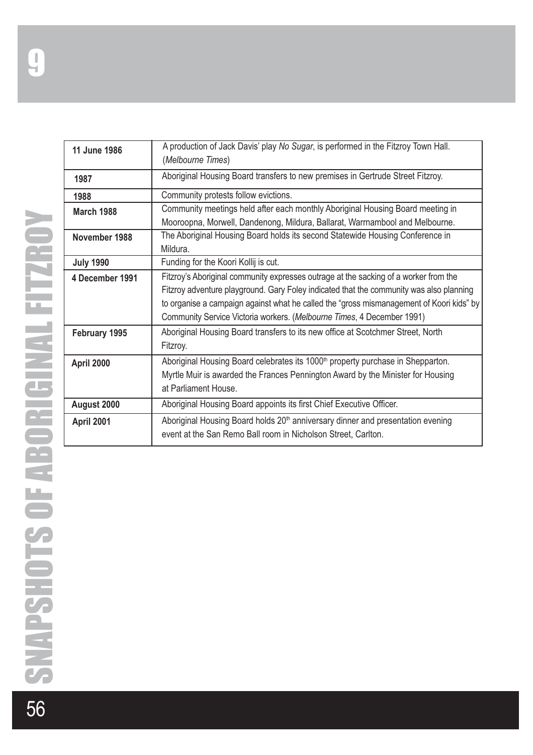| <b>11 June 1986</b> | A production of Jack Davis' play No Sugar, is performed in the Fitzroy Town Hall.           |
|---------------------|---------------------------------------------------------------------------------------------|
|                     | (Melbourne Times)                                                                           |
|                     | Aboriginal Housing Board transfers to new premises in Gertrude Street Fitzroy.              |
| 1987                |                                                                                             |
| 1988                | Community protests follow evictions.                                                        |
| <b>March 1988</b>   | Community meetings held after each monthly Aboriginal Housing Board meeting in              |
|                     | Mooroopna, Morwell, Dandenong, Mildura, Ballarat, Warrnambool and Melbourne.                |
| November 1988       | The Aboriginal Housing Board holds its second Statewide Housing Conference in               |
|                     | Mildura.                                                                                    |
| <b>July 1990</b>    | Funding for the Koori Kollij is cut.                                                        |
| 4 December 1991     | Fitzroy's Aboriginal community expresses outrage at the sacking of a worker from the        |
|                     | Fitzroy adventure playground. Gary Foley indicated that the community was also planning     |
|                     | to organise a campaign against what he called the "gross mismanagement of Koori kids" by    |
|                     | Community Service Victoria workers. (Melbourne Times, 4 December 1991)                      |
| February 1995       | Aboriginal Housing Board transfers to its new office at Scotchmer Street, North             |
|                     | Fitzroy.                                                                                    |
| April 2000          | Aboriginal Housing Board celebrates its 1000 <sup>th</sup> property purchase in Shepparton. |
|                     | Myrtle Muir is awarded the Frances Pennington Award by the Minister for Housing             |
|                     | at Parliament House.                                                                        |
| August 2000         | Aboriginal Housing Board appoints its first Chief Executive Officer.                        |
|                     | Aboriginal Housing Board holds 20 <sup>th</sup> anniversary dinner and presentation evening |
| April 2001          |                                                                                             |
|                     | event at the San Remo Ball room in Nicholson Street, Carlton.                               |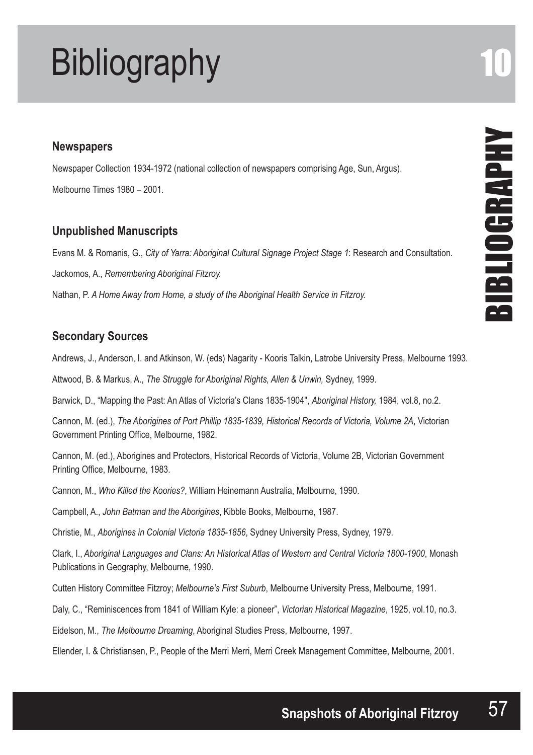# Bibliography

#### **Newspapers**

Newspaper Collection 1934-1972 (national collection of newspapers comprising Age, Sun, Argus). Melbourne Times 1980 – 2001.

#### **Unpublished Manuscripts**

Evans M. & Romanis, G., *City of Yarra: Aboriginal Cultural Signage Project Stage 1*: Research and Consultation.

Jackomos, A., *Remembering Aboriginal Fitzroy.*

Nathan, P. *A Home Away from Home, a study of the Aboriginal Health Service in Fitzroy.*

#### **Secondary Sources**

Andrews, J., Anderson, I. and Atkinson, W. (eds) Nagarity - Kooris Talkin, Latrobe University Press, Melbourne 1993.

Attwood, B. & Markus, A., *The Struggle for Aboriginal Rights, Allen & Unwin,* Sydney, 1999.

Barwick, D., "Mapping the Past: An Atlas of Victoria's Clans 1835-1904", *Aboriginal History*, 1984, vol.8, no.2.

Cannon, M. (ed.), *The Aborigines of Port Phillip 1835-1839, Historical Records of Victoria, Volume 2A*, Victorian Government Printing Office, Melbourne, 1982.

Cannon, M. (ed.), Aborigines and Protectors, Historical Records of Victoria, Volume 2B, Victorian Government Printing Office, Melbourne, 1983.

Cannon, M., *Who Killed the Koories?*, William Heinemann Australia, Melbourne, 1990.

Campbell, A., *John Batman and the Aborigines*, Kibble Books, Melbourne, 1987.

Christie, M., *Aborigines in Colonial Victoria 1835-1856*, Sydney University Press, Sydney, 1979.

Clark, I., Aboriginal Languages and Clans: An Historical Atlas of Western and Central Victoria 1800-1900, Monash Publications in Geography, Melbourne, 1990.

Cutten History Committee Fitzroy; *Melbourne's First Suburb*, Melbourne University Press, Melbourne, 1991.

Daly, C., "Reminiscences from 1841 of William Kyle: a pioneer", *Victorian Historical Magazine*, 1925, vol.10, no.3.

Eidelson, M., *The Melbourne Dreaming*, Aboriginal Studies Press, Melbourne, 1997.

Ellender, I. & Christiansen, P., People of the Merri Merri, Merri Creek Management Committee, Melbourne, 2001.

10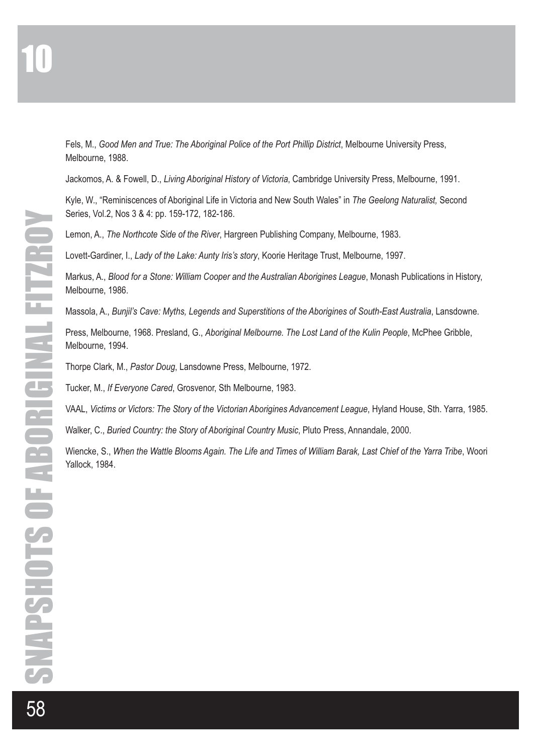Fels, M., *Good Men and True: The Aboriginal Police of the Port Phillip District*, Melbourne University Press, Melbourne, 1988.

Jackomos, A. & Fowell, D., *Living Aboriginal History of Victoria*, Cambridge University Press, Melbourne, 1991.

Kyle, W., "Reminiscences of Aboriginal Life in Victoria and New South Wales" in *The Geelong Naturalist,* Second Series, Vol.2, Nos 3 & 4: pp. 159-172, 182-186.

Lemon, A., *The Northcote Side of the River*, Hargreen Publishing Company, Melbourne, 1983.

Lovett-Gardiner, I., *Lady of the Lake: Aunty Iris's story*, Koorie Heritage Trust, Melbourne, 1997.

Markus, A., *Blood for a Stone: William Cooper and the Australian Aborigines League*, Monash Publications in History, Melbourne, 1986.

Massola, A., *Bunjil's Cave: Myths, Legends and Superstitions of the Aborigines of South-East Australia*, Lansdowne.

Press, Melbourne, 1968. Presland, G., *Aboriginal Melbourne. The Lost Land of the Kulin People*, McPhee Gribble, Melbourne, 1994.

Thorpe Clark, M., *Pastor Doug*, Lansdowne Press, Melbourne, 1972.

Tucker, M., *If Everyone Cared*, Grosvenor, Sth Melbourne, 1983.

VAAL, *Victims or Victors: The Story of the Victorian Aborigines Advancement League*, Hyland House, Sth. Yarra, 1985.

Walker, C., *Buried Country: the Story of Aboriginal Country Music*, Pluto Press, Annandale, 2000.

Wiencke, S., *When the Wattle Blooms Again. The Life and Times of William Barak, Last Chief of the Yarra Tribe*, Woori Yallock, 1984.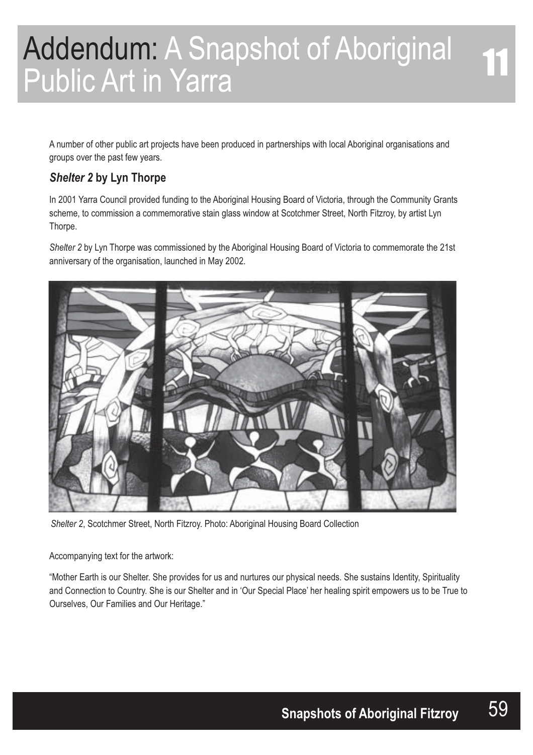# Addendum: A Snapshot of Aboriginal Public Art in Yarra

A number of other public art projects have been produced in partnerships with local Aboriginal organisations and groups over the past few years.

#### *Shelter 2* **by Lyn Thorpe**

In 2001 Yarra Council provided funding to the Aboriginal Housing Board of Victoria, through the Community Grants scheme, to commission a commemorative stain glass window at Scotchmer Street, North Fitzroy, by artist Lyn Thorpe.

*Shelter 2* by Lyn Thorpe was commissioned by the Aboriginal Housing Board of Victoria to commemorate the 21st anniversary of the organisation, launched in May 2002.



*Shelter 2*, Scotchmer Street, North Fitzroy. Photo: Aboriginal Housing Board Collection

Accompanying text for the artwork:

"Mother Earth is our Shelter. She provides for us and nurtures our physical needs. She sustains Identity, Spirituality and Connection to Country. She is our Shelter and in 'Our Special Place' her healing spirit empowers us to be True to Ourselves, Our Families and Our Heritage."

11